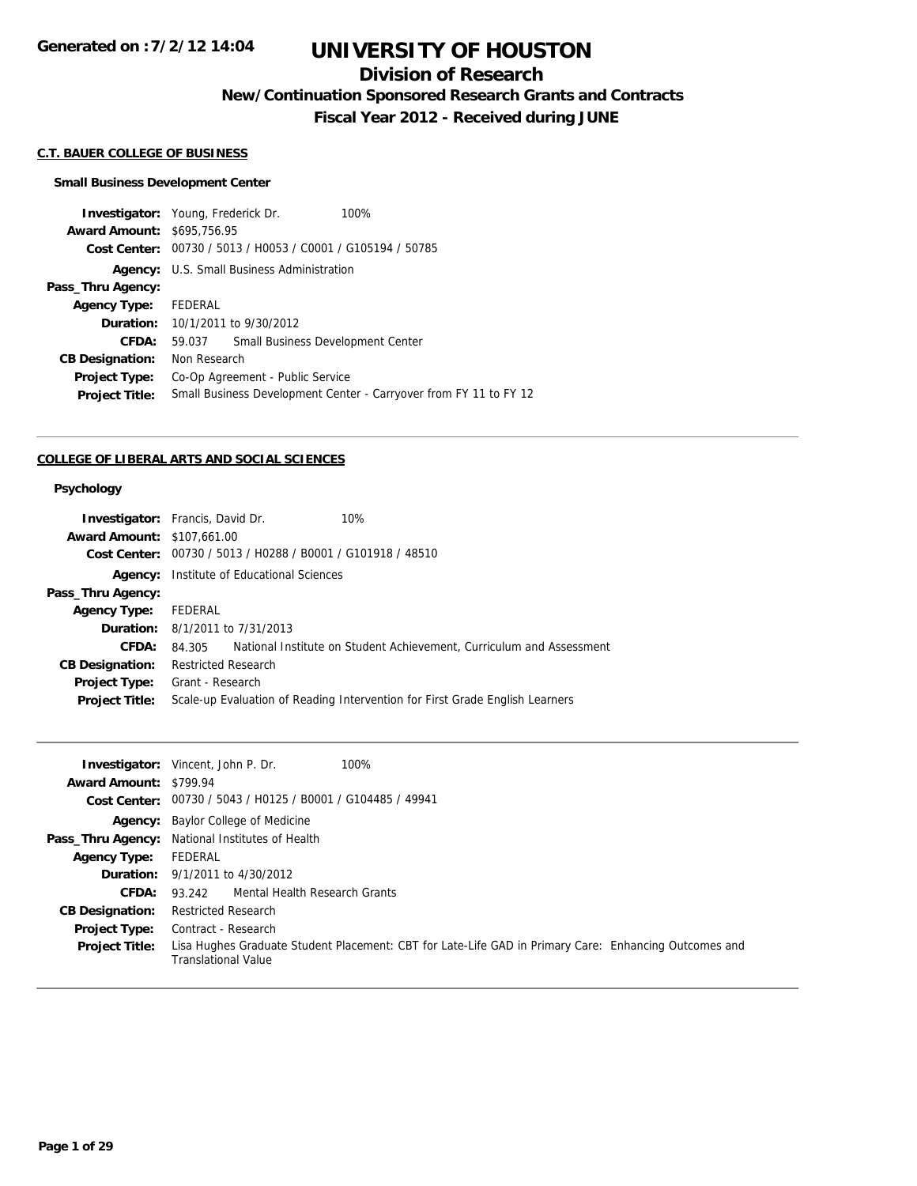## **Division of Research**

**New/Continuation Sponsored Research Grants and Contracts**

**Fiscal Year 2012 - Received during JUNE**

### **C.T. BAUER COLLEGE OF BUSINESS**

#### **Small Business Development Center**

|                                   | <b>Investigator:</b> Young, Frederick Dr.                   |  | 100%                                                              |
|-----------------------------------|-------------------------------------------------------------|--|-------------------------------------------------------------------|
| <b>Award Amount: \$695,756.95</b> |                                                             |  |                                                                   |
|                                   | Cost Center: 00730 / 5013 / H0053 / C0001 / G105194 / 50785 |  |                                                                   |
| Agency:                           | U.S. Small Business Administration                          |  |                                                                   |
| Pass_Thru Agency:                 |                                                             |  |                                                                   |
| Agency Type: FEDERAL              |                                                             |  |                                                                   |
|                                   | <b>Duration:</b> 10/1/2011 to 9/30/2012                     |  |                                                                   |
| CFDA:                             | 59.037                                                      |  | Small Business Development Center                                 |
| <b>CB Designation:</b>            | Non Research                                                |  |                                                                   |
| <b>Project Type:</b>              | Co-Op Agreement - Public Service                            |  |                                                                   |
| <b>Project Title:</b>             |                                                             |  | Small Business Development Center - Carryover from FY 11 to FY 12 |
|                                   |                                                             |  |                                                                   |

### **COLLEGE OF LIBERAL ARTS AND SOCIAL SCIENCES**

### **Psychology**

|                                   | <b>Investigator:</b> Francis, David Dr.                     | 10%                                                                          |
|-----------------------------------|-------------------------------------------------------------|------------------------------------------------------------------------------|
| <b>Award Amount: \$107,661.00</b> |                                                             |                                                                              |
|                                   | Cost Center: 00730 / 5013 / H0288 / B0001 / G101918 / 48510 |                                                                              |
|                                   | <b>Agency:</b> Institute of Educational Sciences            |                                                                              |
| Pass_Thru Agency:                 |                                                             |                                                                              |
| <b>Agency Type:</b>               | FEDERAL                                                     |                                                                              |
|                                   | <b>Duration:</b> 8/1/2011 to 7/31/2013                      |                                                                              |
| CFDA:                             | 84.305                                                      | National Institute on Student Achievement, Curriculum and Assessment         |
| <b>CB Designation:</b>            | <b>Restricted Research</b>                                  |                                                                              |
| Project Type:                     | Grant - Research                                            |                                                                              |
| <b>Project Title:</b>             |                                                             | Scale-up Evaluation of Reading Intervention for First Grade English Learners |
|                                   |                                                             |                                                                              |

|                               | 100%<br><b>Investigator:</b> Vincent, John P. Dr.                                                                            |
|-------------------------------|------------------------------------------------------------------------------------------------------------------------------|
| <b>Award Amount: \$799.94</b> |                                                                                                                              |
|                               | Cost Center: 00730 / 5043 / H0125 / B0001 / G104485 / 49941                                                                  |
|                               | <b>Agency:</b> Baylor College of Medicine                                                                                    |
|                               | Pass_Thru Agency: National Institutes of Health                                                                              |
| <b>Agency Type:</b>           | FEDERAL                                                                                                                      |
|                               | <b>Duration:</b> $9/1/2011$ to $4/30/2012$                                                                                   |
| <b>CFDA:</b>                  | 93.242 Mental Health Research Grants                                                                                         |
| <b>CB Designation:</b>        | <b>Restricted Research</b>                                                                                                   |
| <b>Project Type:</b>          | Contract - Research                                                                                                          |
| <b>Project Title:</b>         | Lisa Hughes Graduate Student Placement: CBT for Late-Life GAD in Primary Care: Enhancing Outcomes and<br>Translational Value |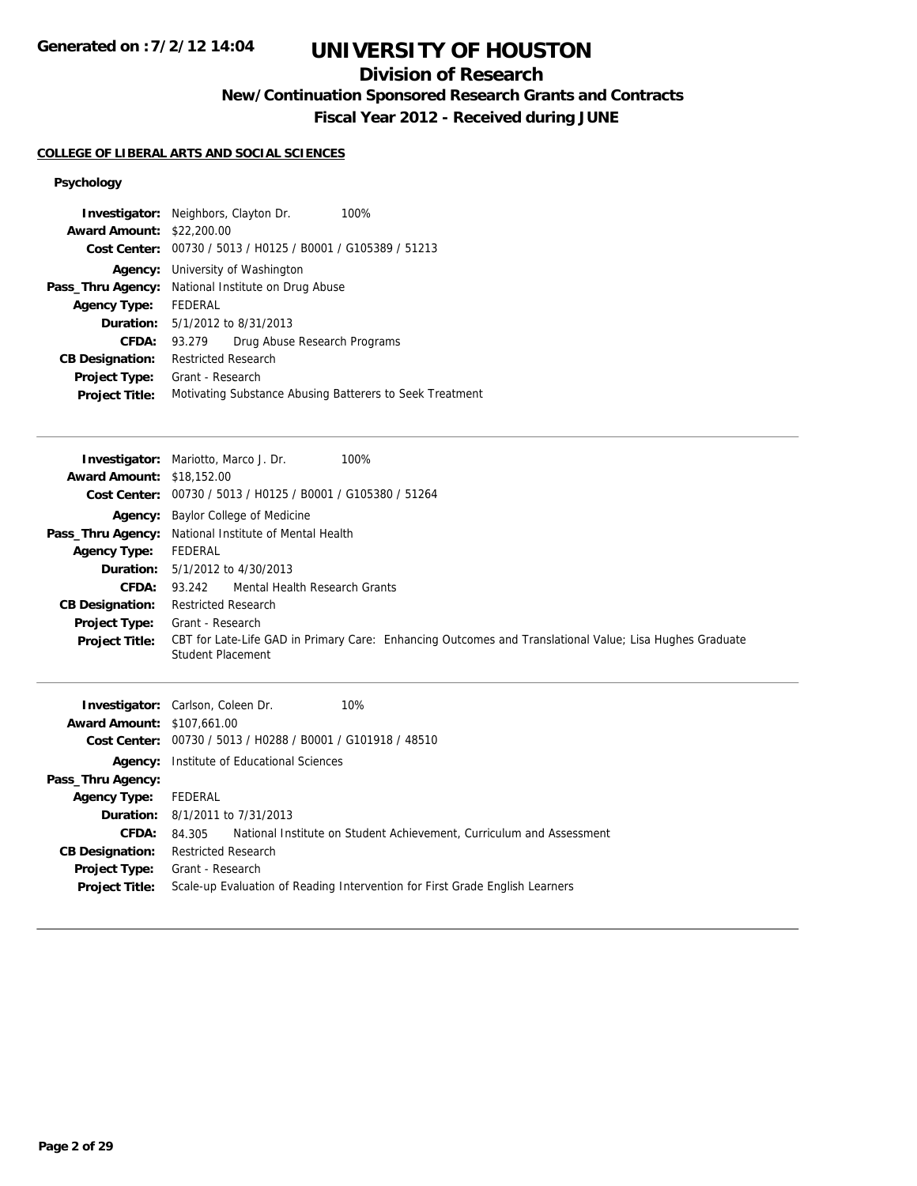## **Division of Research**

**New/Continuation Sponsored Research Grants and Contracts**

**Fiscal Year 2012 - Received during JUNE**

#### **COLLEGE OF LIBERAL ARTS AND SOCIAL SCIENCES**

### **Psychology**

| <b>Award Amount: \$22,200.00</b> | <b>Investigator:</b> Neighbors, Clayton Dr.<br>100%         |
|----------------------------------|-------------------------------------------------------------|
|                                  | Cost Center: 00730 / 5013 / H0125 / B0001 / G105389 / 51213 |
| Agency:                          | University of Washington                                    |
| Pass_Thru Agency:                | National Institute on Drug Abuse                            |
| <b>Agency Type:</b>              | FEDERAL                                                     |
|                                  | <b>Duration:</b> 5/1/2012 to 8/31/2013                      |
| CFDA:                            | Drug Abuse Research Programs<br>93.279                      |
| <b>CB Designation:</b>           | Restricted Research                                         |
| <b>Project Type:</b>             | Grant - Research                                            |
| <b>Project Title:</b>            | Motivating Substance Abusing Batterers to Seek Treatment    |
|                                  |                                                             |

|                                   | <b>Investigator:</b> Mariotto, Marco J. Dr.<br>100%                                                     |
|-----------------------------------|---------------------------------------------------------------------------------------------------------|
| <b>Award Amount: \$18,152.00</b>  |                                                                                                         |
| <b>Cost Center:</b>               | 00730 / 5013 / H0125 / B0001 / G105380 / 51264                                                          |
|                                   | <b>Agency:</b> Baylor College of Medicine                                                               |
| Pass_Thru Agency:                 | National Institute of Mental Health                                                                     |
| <b>Agency Type:</b>               | FEDERAL                                                                                                 |
| Duration:                         | 5/1/2012 to 4/30/2013                                                                                   |
| CFDA:                             | Mental Health Research Grants<br>93.242                                                                 |
| <b>CB Designation:</b>            | <b>Restricted Research</b>                                                                              |
| <b>Project Type:</b>              | Grant - Research                                                                                        |
| <b>Project Title:</b>             | CBT for Late-Life GAD in Primary Care: Enhancing Outcomes and Translational Value; Lisa Hughes Graduate |
|                                   |                                                                                                         |
|                                   | Student Placement                                                                                       |
|                                   |                                                                                                         |
|                                   | <b>Investigator:</b> Carlson, Coleen Dr.<br>10%                                                         |
| <b>Award Amount: \$107,661.00</b> |                                                                                                         |
| <b>Cost Center:</b>               | 00730 / 5013 / H0288 / B0001 / G101918 / 48510                                                          |
|                                   | <b>Agency:</b> Institute of Educational Sciences                                                        |
| Pass_Thru Agency:                 |                                                                                                         |
| <b>Agency Type:</b>               | FEDERAL                                                                                                 |
| Duration:                         | 8/1/2011 to 7/31/2013                                                                                   |

**Project Title:** Scale-up Evaluation of Reading Intervention for First Grade English Learners

**CB Designation:** Restricted Research **Project Type:** Grant - Research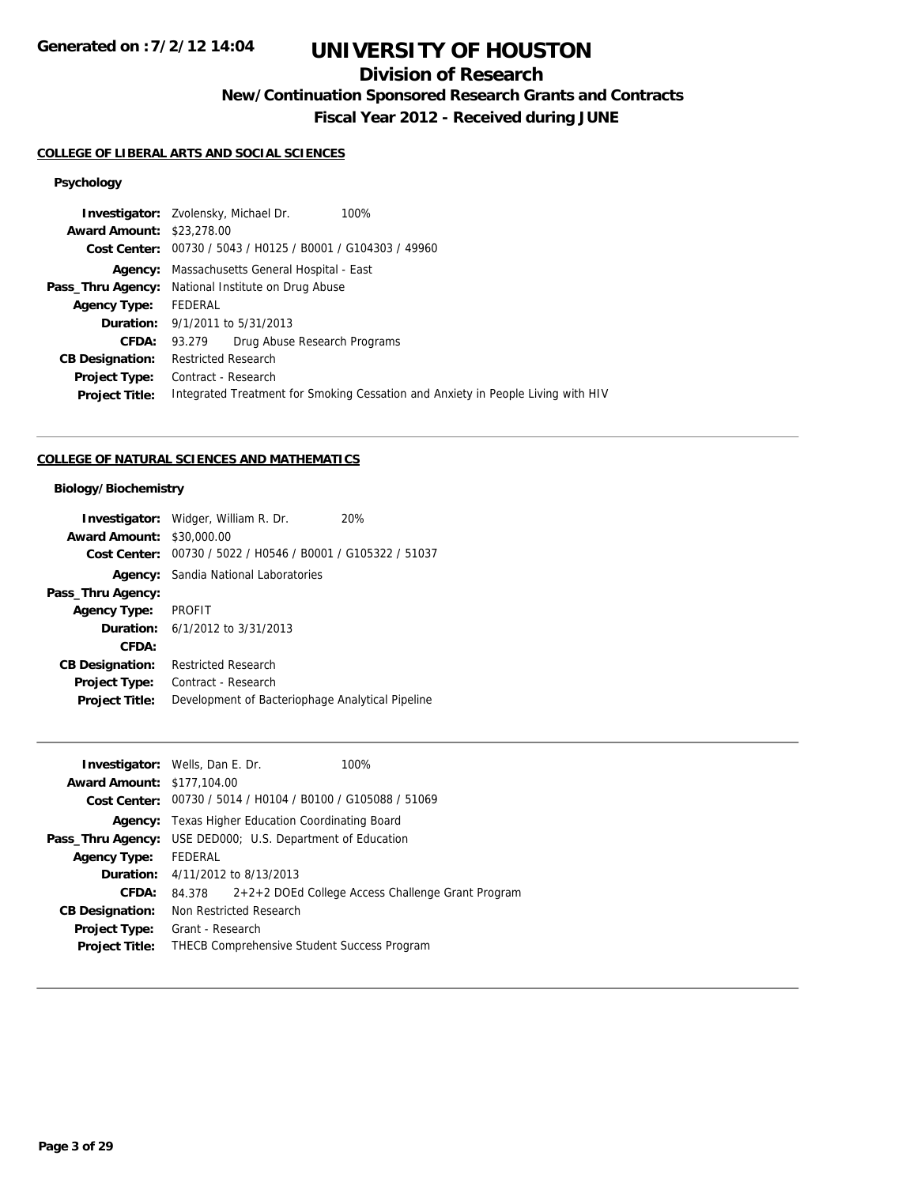# **UNIVERSITY OF HOUSTON**

## **Division of Research**

**New/Continuation Sponsored Research Grants and Contracts**

**Fiscal Year 2012 - Received during JUNE**

## **COLLEGE OF LIBERAL ARTS AND SOCIAL SCIENCES**

### **Psychology**

|                                  | <b>Investigator:</b> Zvolensky, Michael Dr.<br>100%                              |  |
|----------------------------------|----------------------------------------------------------------------------------|--|
| <b>Award Amount: \$23,278.00</b> |                                                                                  |  |
|                                  | Cost Center: 00730 / 5043 / H0125 / B0001 / G104303 / 49960                      |  |
|                                  | <b>Agency:</b> Massachusetts General Hospital - East                             |  |
|                                  | <b>Pass_Thru Agency:</b> National Institute on Drug Abuse                        |  |
| <b>Agency Type:</b>              | FEDERAL                                                                          |  |
|                                  | <b>Duration:</b> 9/1/2011 to 5/31/2013                                           |  |
| CFDA:                            | Drug Abuse Research Programs<br>93.279                                           |  |
| <b>CB Designation:</b>           | <b>Restricted Research</b>                                                       |  |
| <b>Project Type:</b>             | Contract - Research                                                              |  |
| <b>Project Title:</b>            | Integrated Treatment for Smoking Cessation and Anxiety in People Living with HIV |  |
|                                  |                                                                                  |  |

### **COLLEGE OF NATURAL SCIENCES AND MATHEMATICS**

### **Biology/Biochemistry**

|                        | <b>Investigator:</b> Widger, William R. Dr.<br>20% |
|------------------------|----------------------------------------------------|
| <b>Award Amount:</b>   | \$30,000.00                                        |
| Cost Center:           | 00730 / 5022 / H0546 / B0001 / G105322 / 51037     |
|                        | <b>Agency:</b> Sandia National Laboratories        |
| Pass_Thru Agency:      |                                                    |
| <b>Agency Type:</b>    | <b>PROFIT</b>                                      |
|                        | <b>Duration:</b> $6/1/2012$ to $3/31/2013$         |
| CFDA:                  |                                                    |
| <b>CB Designation:</b> | <b>Restricted Research</b>                         |
| <b>Project Type:</b>   | Contract - Research                                |
| <b>Project Title:</b>  | Development of Bacteriophage Analytical Pipeline   |

| <b>Investigator:</b> Wells, Dan E. Dr.                            |                                                          |                                                             | 100%                                                     |
|-------------------------------------------------------------------|----------------------------------------------------------|-------------------------------------------------------------|----------------------------------------------------------|
| <b>Award Amount: \$177,104.00</b>                                 |                                                          |                                                             |                                                          |
|                                                                   |                                                          | Cost Center: 00730 / 5014 / H0104 / B0100 / G105088 / 51069 |                                                          |
|                                                                   | <b>Agency:</b> Texas Higher Education Coordinating Board |                                                             |                                                          |
| <b>Pass_Thru Agency:</b> USE DED000; U.S. Department of Education |                                                          |                                                             |                                                          |
| <b>Agency Type:</b>                                               | FEDERAL                                                  |                                                             |                                                          |
|                                                                   |                                                          | <b>Duration:</b> 4/11/2012 to 8/13/2013                     |                                                          |
| CFDA:                                                             |                                                          |                                                             | 84.378 2+2+2 DOEd College Access Challenge Grant Program |
| <b>CB Designation:</b>                                            |                                                          | Non Restricted Research                                     |                                                          |
| <b>Project Type:</b>                                              | Grant - Research                                         |                                                             |                                                          |
| <b>Project Title:</b>                                             |                                                          | <b>THECB Comprehensive Student Success Program</b>          |                                                          |
|                                                                   |                                                          |                                                             |                                                          |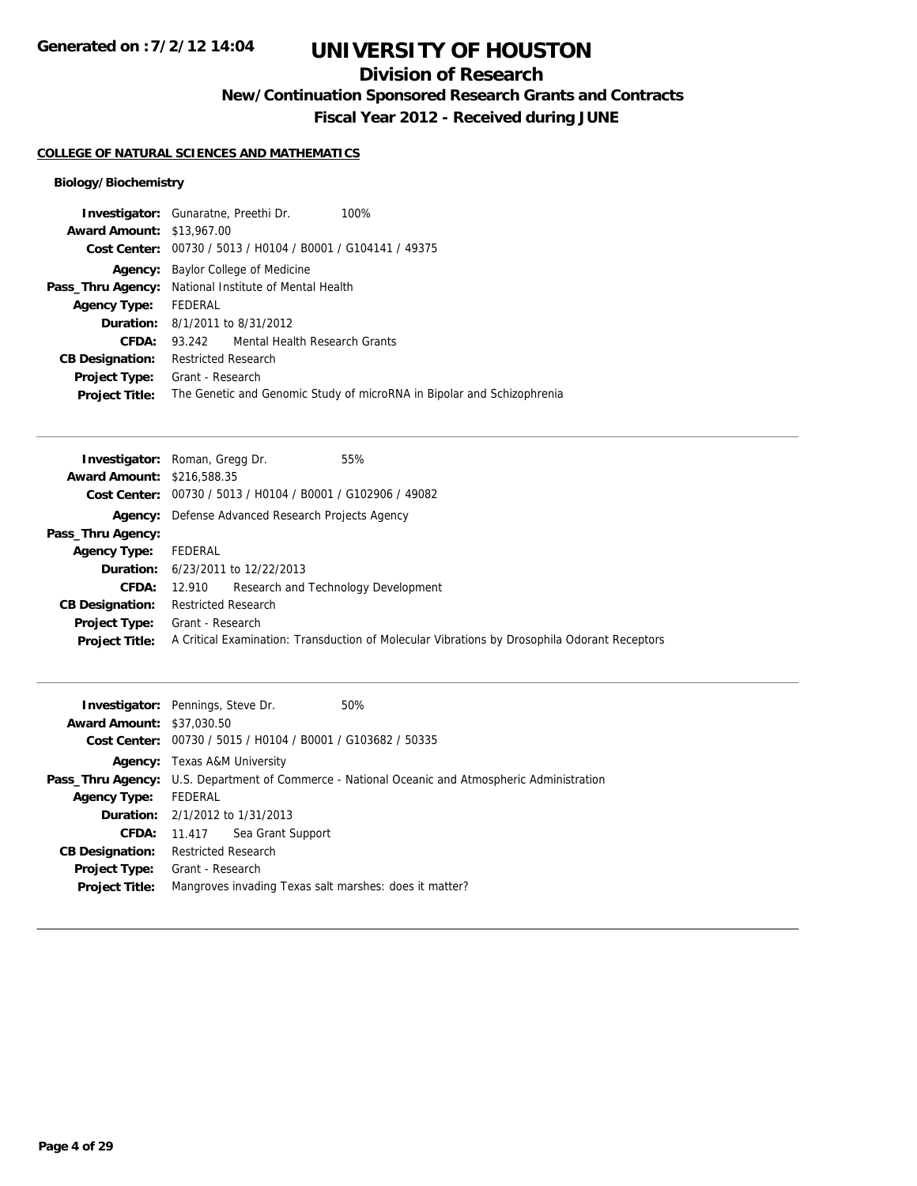## **Division of Research**

**New/Continuation Sponsored Research Grants and Contracts**

**Fiscal Year 2012 - Received during JUNE**

#### **COLLEGE OF NATURAL SCIENCES AND MATHEMATICS**

### **Biology/Biochemistry**

|                                  | <b>Investigator:</b> Gunaratne, Preethi Dr.<br>100%                    |  |  |
|----------------------------------|------------------------------------------------------------------------|--|--|
| <b>Award Amount: \$13,967.00</b> |                                                                        |  |  |
|                                  | Cost Center: 00730 / 5013 / H0104 / B0001 / G104141 / 49375            |  |  |
|                                  | <b>Agency:</b> Baylor College of Medicine                              |  |  |
|                                  | <b>Pass_Thru Agency:</b> National Institute of Mental Health           |  |  |
| <b>Agency Type:</b>              | FEDERAL                                                                |  |  |
|                                  | <b>Duration:</b> 8/1/2011 to 8/31/2012                                 |  |  |
| CFDA:                            | 93.242 Mental Health Research Grants                                   |  |  |
| <b>CB Designation:</b>           | <b>Restricted Research</b>                                             |  |  |
| <b>Project Type:</b>             | Grant - Research                                                       |  |  |
| <b>Project Title:</b>            | The Genetic and Genomic Study of microRNA in Bipolar and Schizophrenia |  |  |
|                                  |                                                                        |  |  |

|                                   | <b>Investigator:</b> Roman, Gregg Dr.<br>55%                                                 |
|-----------------------------------|----------------------------------------------------------------------------------------------|
| <b>Award Amount: \$216,588,35</b> |                                                                                              |
|                                   | Cost Center: 00730 / 5013 / H0104 / B0001 / G102906 / 49082                                  |
|                                   | <b>Agency:</b> Defense Advanced Research Projects Agency                                     |
| Pass_Thru Agency:                 |                                                                                              |
| <b>Agency Type:</b>               | FEDERAL                                                                                      |
|                                   | <b>Duration:</b> 6/23/2011 to 12/22/2013                                                     |
| CFDA:                             | Research and Technology Development<br>12.910                                                |
| <b>CB Designation:</b>            | <b>Restricted Research</b>                                                                   |
| <b>Project Type:</b>              | Grant - Research                                                                             |
| <b>Project Title:</b>             | A Critical Examination: Transduction of Molecular Vibrations by Drosophila Odorant Receptors |
|                                   |                                                                                              |

|                                  | <b>Investigator:</b> Pennings, Steve Dr.<br>50%        |                                                                                                        |  |  |
|----------------------------------|--------------------------------------------------------|--------------------------------------------------------------------------------------------------------|--|--|
| <b>Award Amount: \$37,030.50</b> |                                                        |                                                                                                        |  |  |
|                                  |                                                        | Cost Center: 00730 / 5015 / H0104 / B0001 / G103682 / 50335                                            |  |  |
|                                  | <b>Agency:</b> Texas A&M University                    |                                                                                                        |  |  |
|                                  |                                                        | <b>Pass_Thru Agency:</b> U.S. Department of Commerce - National Oceanic and Atmospheric Administration |  |  |
| <b>Agency Type:</b>              | FEDERAL                                                |                                                                                                        |  |  |
|                                  | <b>Duration:</b> 2/1/2012 to 1/31/2013                 |                                                                                                        |  |  |
|                                  | Sea Grant Support<br><b>CFDA:</b> 11.417               |                                                                                                        |  |  |
| <b>CB Designation:</b>           | <b>Restricted Research</b>                             |                                                                                                        |  |  |
|                                  | <b>Project Type:</b> Grant - Research                  |                                                                                                        |  |  |
| <b>Project Title:</b>            | Mangroves invading Texas salt marshes: does it matter? |                                                                                                        |  |  |
|                                  |                                                        |                                                                                                        |  |  |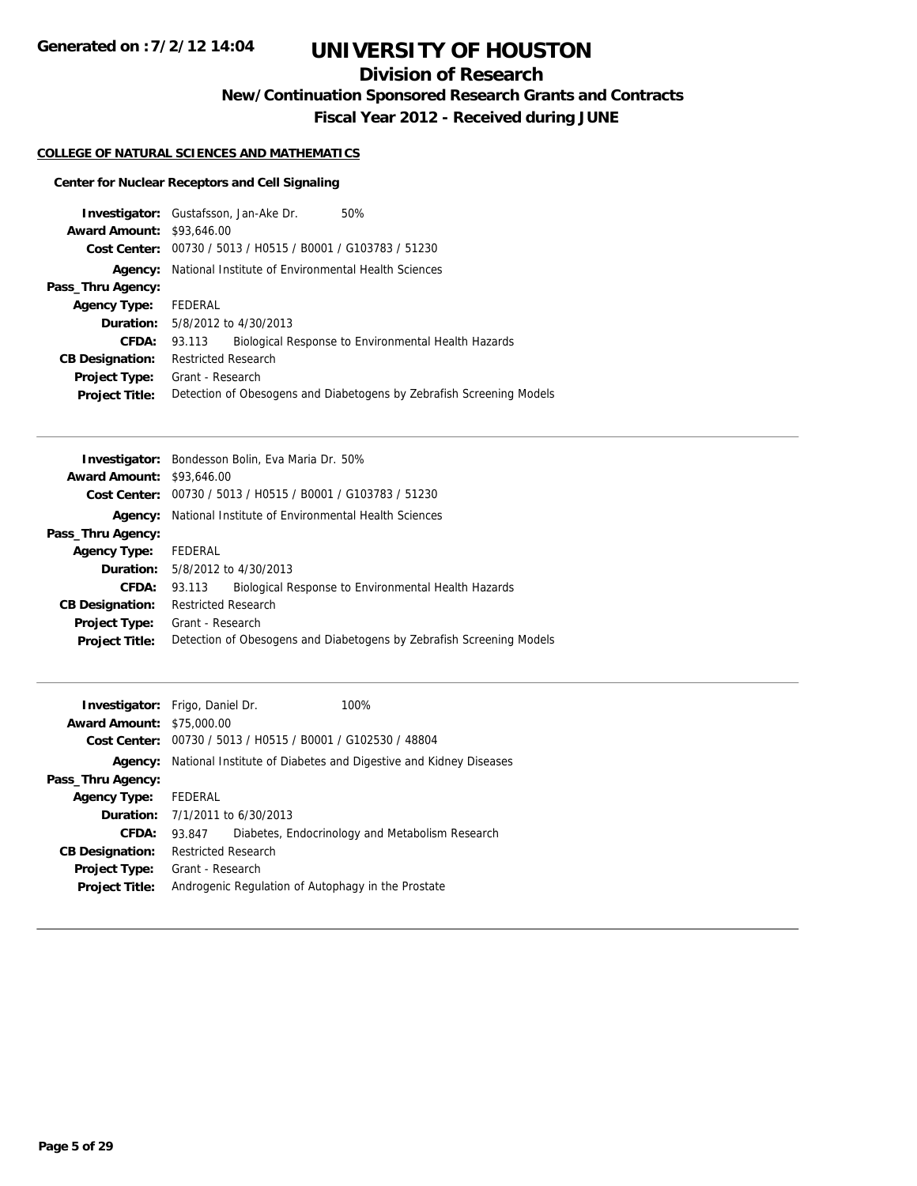## **Division of Research**

**New/Continuation Sponsored Research Grants and Contracts**

**Fiscal Year 2012 - Received during JUNE**

### **COLLEGE OF NATURAL SCIENCES AND MATHEMATICS**

### **Center for Nuclear Receptors and Cell Signaling**

|                                  | <b>Investigator:</b> Gustafsson, Jan-Ake Dr.<br>50%                  |  |  |
|----------------------------------|----------------------------------------------------------------------|--|--|
| <b>Award Amount: \$93,646.00</b> |                                                                      |  |  |
|                                  | Cost Center: 00730 / 5013 / H0515 / B0001 / G103783 / 51230          |  |  |
| Agency:                          | National Institute of Environmental Health Sciences                  |  |  |
| Pass_Thru Agency:                |                                                                      |  |  |
| <b>Agency Type:</b>              | FEDERAL                                                              |  |  |
|                                  | <b>Duration:</b> 5/8/2012 to 4/30/2013                               |  |  |
| <b>CFDA:</b>                     | Biological Response to Environmental Health Hazards<br>93.113        |  |  |
| <b>CB Designation:</b>           | <b>Restricted Research</b>                                           |  |  |
| <b>Project Type:</b>             | Grant - Research                                                     |  |  |
| <b>Project Title:</b>            | Detection of Obesogens and Diabetogens by Zebrafish Screening Models |  |  |

|                                  | <b>Investigator:</b> Bondesson Bolin, Eva Maria Dr. 50%              |
|----------------------------------|----------------------------------------------------------------------|
| <b>Award Amount: \$93,646.00</b> |                                                                      |
|                                  | Cost Center: 00730 / 5013 / H0515 / B0001 / G103783 / 51230          |
| Agency:                          | National Institute of Environmental Health Sciences                  |
| Pass_Thru Agency:                |                                                                      |
| <b>Agency Type:</b>              | FEDERAL                                                              |
|                                  | <b>Duration:</b> 5/8/2012 to 4/30/2013                               |
| CFDA:                            | Biological Response to Environmental Health Hazards<br>93.113        |
| <b>CB Designation:</b>           | <b>Restricted Research</b>                                           |
| <b>Project Type:</b>             | Grant - Research                                                     |
| <b>Project Title:</b>            | Detection of Obesogens and Diabetogens by Zebrafish Screening Models |
|                                  |                                                                      |

|                                  | <b>Investigator:</b> Frigo, Daniel Dr.                           | 100%                                            |
|----------------------------------|------------------------------------------------------------------|-------------------------------------------------|
| <b>Award Amount: \$75,000.00</b> |                                                                  |                                                 |
|                                  | Cost Center: 00730 / 5013 / H0515 / B0001 / G102530 / 48804      |                                                 |
| Agency:                          | National Institute of Diabetes and Digestive and Kidney Diseases |                                                 |
| Pass_Thru Agency:                |                                                                  |                                                 |
| <b>Agency Type:</b>              | FEDERAL                                                          |                                                 |
|                                  | <b>Duration:</b> $7/1/2011$ to $6/30/2013$                       |                                                 |
| CFDA:                            | 93.847                                                           | Diabetes, Endocrinology and Metabolism Research |
| <b>CB Designation:</b>           | <b>Restricted Research</b>                                       |                                                 |
| <b>Project Type:</b>             | Grant - Research                                                 |                                                 |
| <b>Project Title:</b>            | Androgenic Regulation of Autophagy in the Prostate               |                                                 |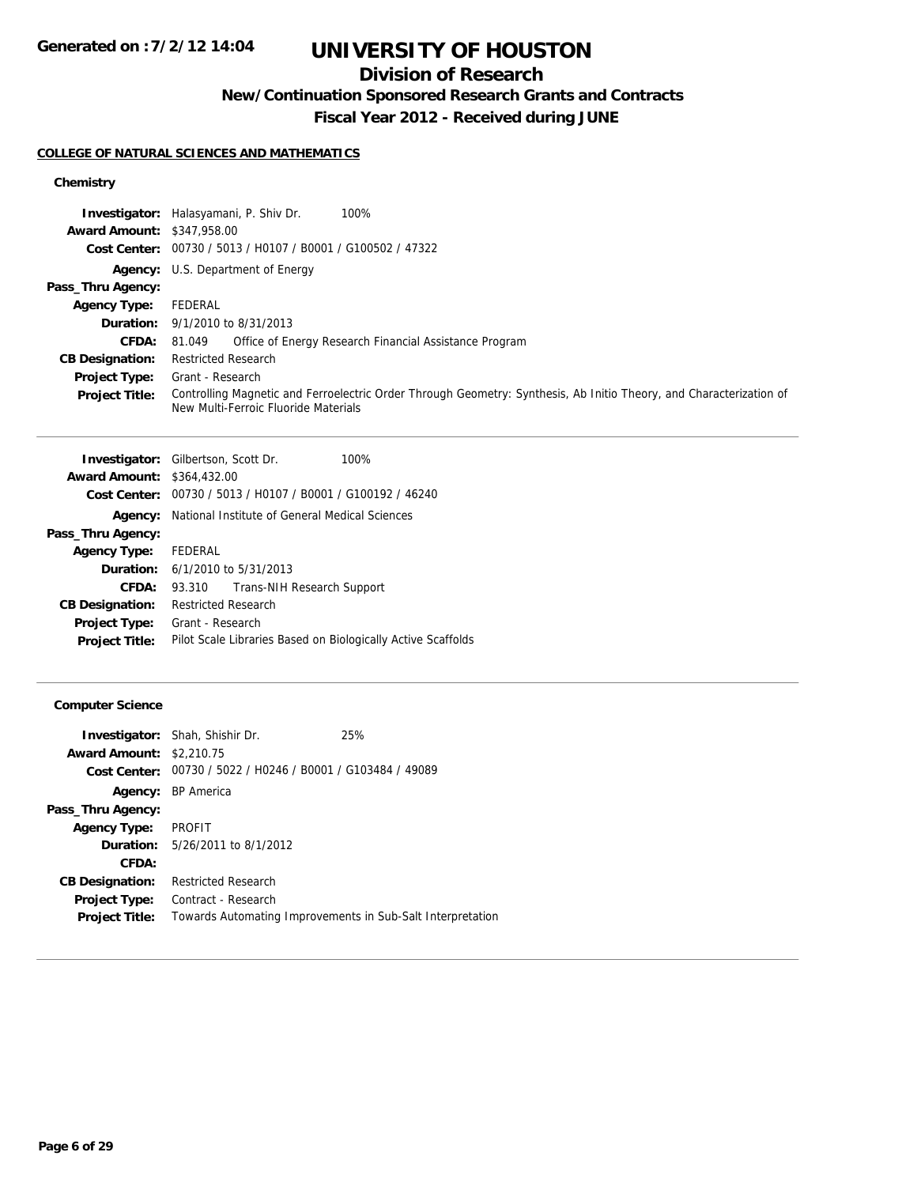# **UNIVERSITY OF HOUSTON**

## **Division of Research**

**New/Continuation Sponsored Research Grants and Contracts**

**Fiscal Year 2012 - Received during JUNE**

### **COLLEGE OF NATURAL SCIENCES AND MATHEMATICS**

### **Chemistry**

|                                   | 100%<br><b>Investigator:</b> Halasyamani, P. Shiv Dr.                                                                                                       |
|-----------------------------------|-------------------------------------------------------------------------------------------------------------------------------------------------------------|
| <b>Award Amount: \$347,958.00</b> |                                                                                                                                                             |
|                                   | Cost Center: 00730 / 5013 / H0107 / B0001 / G100502 / 47322                                                                                                 |
|                                   | <b>Agency:</b> U.S. Department of Energy                                                                                                                    |
| Pass_Thru Agency:                 |                                                                                                                                                             |
| <b>Agency Type:</b>               | FEDERAL                                                                                                                                                     |
|                                   | <b>Duration:</b> $9/1/2010$ to $8/31/2013$                                                                                                                  |
| <b>CFDA:</b>                      | Office of Energy Research Financial Assistance Program<br>81.049                                                                                            |
| <b>CB Designation:</b>            | <b>Restricted Research</b>                                                                                                                                  |
| <b>Project Type:</b>              | Grant - Research                                                                                                                                            |
| <b>Project Title:</b>             | Controlling Magnetic and Ferroelectric Order Through Geometry: Synthesis, Ab Initio Theory, and Characterization of<br>New Multi-Ferroic Fluoride Materials |

| 100%<br><b>Investigator:</b> Gilbertson, Scott Dr.            |  |
|---------------------------------------------------------------|--|
| <b>Award Amount: \$364,432.00</b>                             |  |
| Cost Center: 00730 / 5013 / H0107 / B0001 / G100192 / 46240   |  |
| <b>Agency:</b> National Institute of General Medical Sciences |  |
|                                                               |  |
| FEDERAL<br><b>Agency Type:</b>                                |  |
| <b>Duration:</b> $6/1/2010$ to $5/31/2013$                    |  |
| Trans-NIH Research Support<br>93.310                          |  |
| <b>Restricted Research</b>                                    |  |
| Grant - Research                                              |  |
| Pilot Scale Libraries Based on Biologically Active Scaffolds  |  |
|                                                               |  |

### **Computer Science**

| <b>Investigator:</b> Shah, Shishir Dr.                      | 25% |
|-------------------------------------------------------------|-----|
| <b>Award Amount: \$2,210.75</b>                             |     |
| Cost Center: 00730 / 5022 / H0246 / B0001 / G103484 / 49089 |     |
| <b>Agency:</b> BP America                                   |     |
|                                                             |     |
| PROFIT                                                      |     |
| <b>Duration:</b> 5/26/2011 to 8/1/2012                      |     |
|                                                             |     |
| <b>Restricted Research</b>                                  |     |
| Contract - Research                                         |     |
| Towards Automating Improvements in Sub-Salt Interpretation  |     |
|                                                             |     |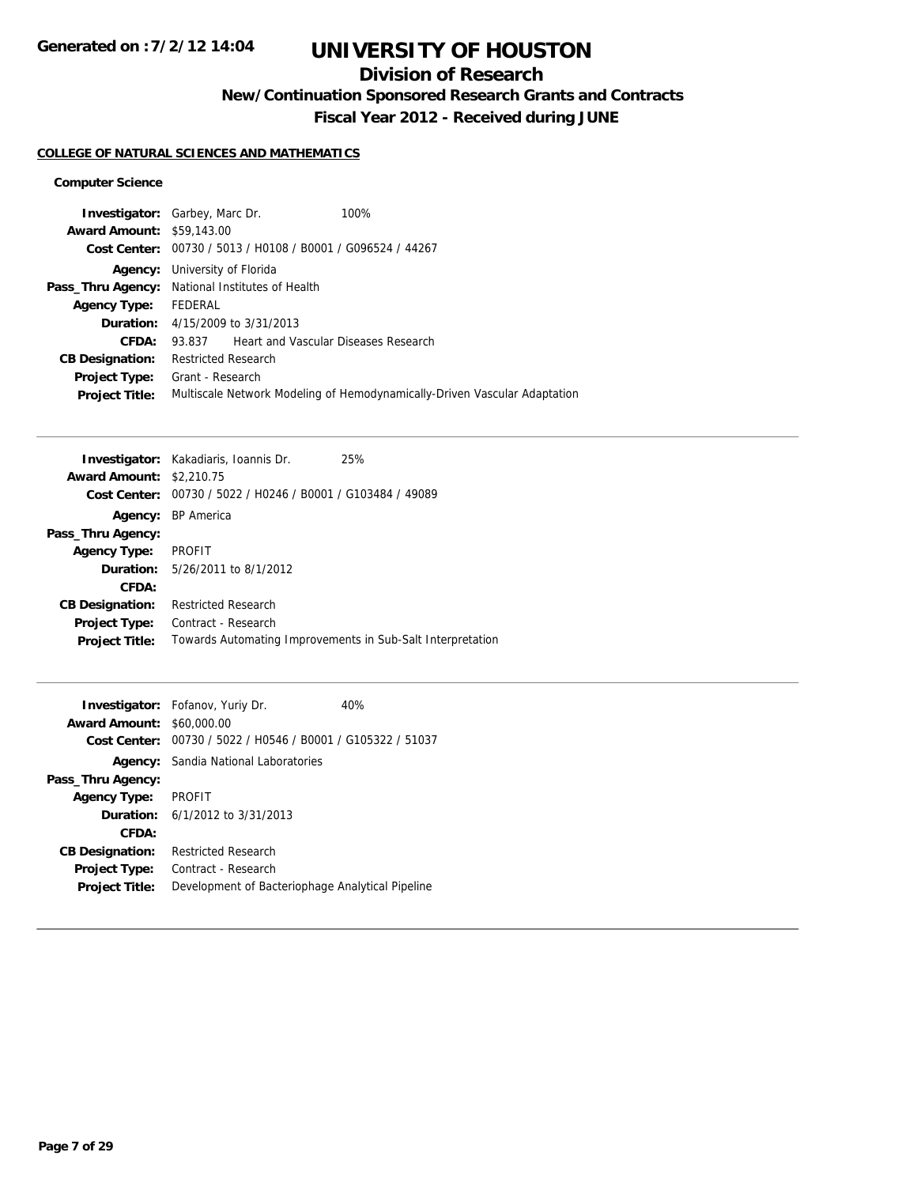## **Division of Research**

**New/Continuation Sponsored Research Grants and Contracts**

**Fiscal Year 2012 - Received during JUNE**

### **COLLEGE OF NATURAL SCIENCES AND MATHEMATICS**

#### **Computer Science**

| <b>Investigator:</b> Garbey, Marc Dr. |                                                             |                                             | 100%                                                                      |
|---------------------------------------|-------------------------------------------------------------|---------------------------------------------|---------------------------------------------------------------------------|
| <b>Award Amount: \$59,143.00</b>      |                                                             |                                             |                                                                           |
|                                       | Cost Center: 00730 / 5013 / H0108 / B0001 / G096524 / 44267 |                                             |                                                                           |
| Agency:                               | University of Florida                                       |                                             |                                                                           |
| Pass_Thru Agency:                     | National Institutes of Health                               |                                             |                                                                           |
| <b>Agency Type:</b>                   | FEDERAL                                                     |                                             |                                                                           |
|                                       | <b>Duration:</b> 4/15/2009 to 3/31/2013                     |                                             |                                                                           |
| CFDA:                                 | 93.837                                                      | <b>Heart and Vascular Diseases Research</b> |                                                                           |
| <b>CB Designation:</b>                | <b>Restricted Research</b>                                  |                                             |                                                                           |
| <b>Project Type:</b>                  | Grant - Research                                            |                                             |                                                                           |
| <b>Project Title:</b>                 |                                                             |                                             | Multiscale Network Modeling of Hemodynamically-Driven Vascular Adaptation |
|                                       |                                                             |                                             |                                                                           |

|                        | <b>Investigator:</b> Kakadiaris, Ioannis Dr.                | 25% |
|------------------------|-------------------------------------------------------------|-----|
| <b>Award Amount:</b>   | \$2,210.75                                                  |     |
|                        | Cost Center: 00730 / 5022 / H0246 / B0001 / G103484 / 49089 |     |
|                        | Agency: BP America                                          |     |
| Pass_Thru Agency:      |                                                             |     |
| <b>Agency Type:</b>    | <b>PROFIT</b>                                               |     |
|                        | <b>Duration:</b> 5/26/2011 to 8/1/2012                      |     |
| CFDA:                  |                                                             |     |
| <b>CB Designation:</b> | <b>Restricted Research</b>                                  |     |
| Project Type:          | Contract - Research                                         |     |
| <b>Project Title:</b>  | Towards Automating Improvements in Sub-Salt Interpretation  |     |
|                        |                                                             |     |

| <b>Award Amount: \$60,000.00</b> | <b>Investigator:</b> Fofanov, Yuriy Dr.<br>Cost Center: 00730 / 5022 / H0546 / B0001 / G105322 / 51037 | 40% |
|----------------------------------|--------------------------------------------------------------------------------------------------------|-----|
|                                  | <b>Agency:</b> Sandia National Laboratories                                                            |     |
| Pass_Thru Agency:                |                                                                                                        |     |
| <b>Agency Type:</b>              | <b>PROFIT</b>                                                                                          |     |
|                                  | <b>Duration:</b> $6/1/2012$ to $3/31/2013$                                                             |     |
| CFDA:                            |                                                                                                        |     |
| <b>CB Designation:</b>           | <b>Restricted Research</b>                                                                             |     |
| <b>Project Type:</b>             | Contract - Research                                                                                    |     |
| <b>Project Title:</b>            | Development of Bacteriophage Analytical Pipeline                                                       |     |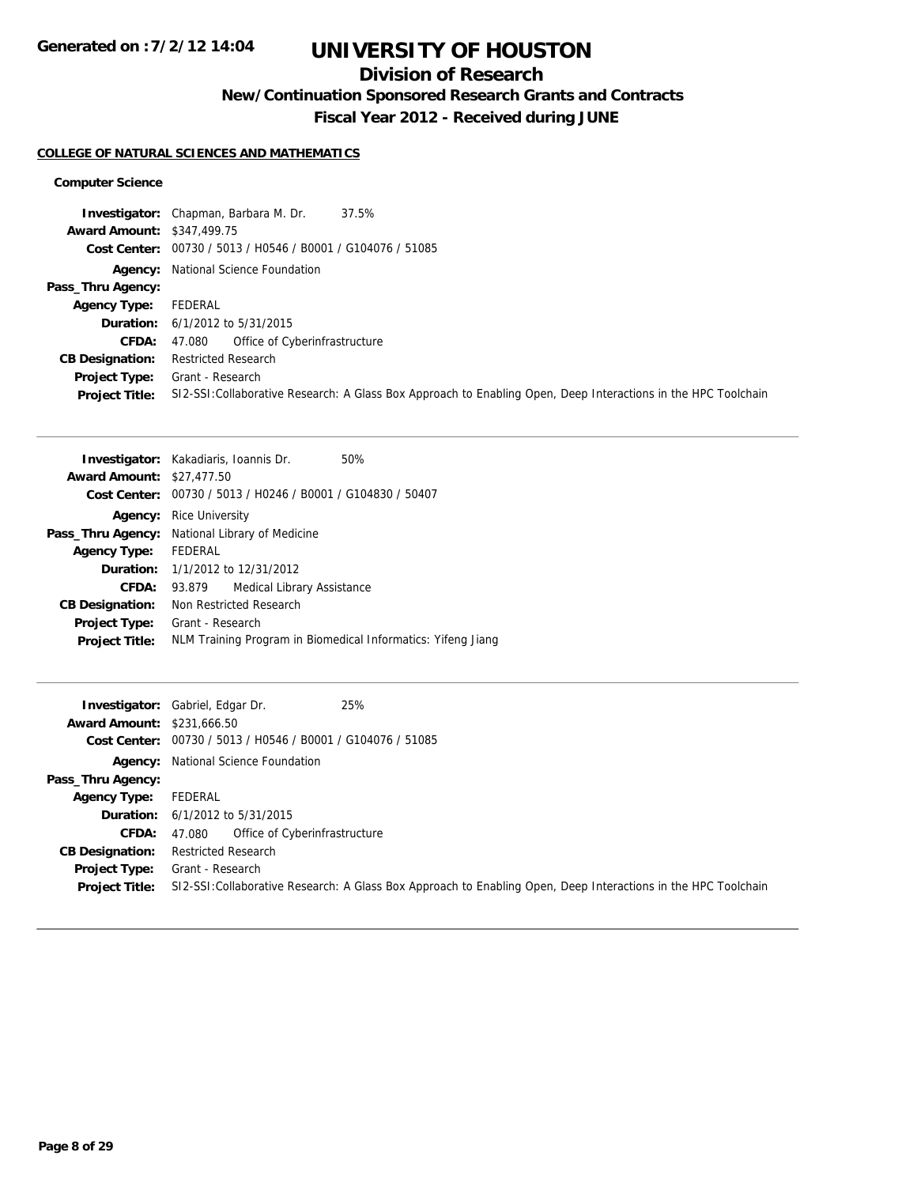## **Division of Research**

**New/Continuation Sponsored Research Grants and Contracts**

**Fiscal Year 2012 - Received during JUNE**

#### **COLLEGE OF NATURAL SCIENCES AND MATHEMATICS**

#### **Computer Science**

|                                   | 37.5%<br><b>Investigator:</b> Chapman, Barbara M. Dr.                                                          |
|-----------------------------------|----------------------------------------------------------------------------------------------------------------|
| <b>Award Amount: \$347,499.75</b> |                                                                                                                |
|                                   | Cost Center: 00730 / 5013 / H0546 / B0001 / G104076 / 51085                                                    |
|                                   | <b>Agency:</b> National Science Foundation                                                                     |
| Pass_Thru Agency:                 |                                                                                                                |
| <b>Agency Type:</b>               | FEDERAL                                                                                                        |
|                                   | <b>Duration:</b> $6/1/2012$ to $5/31/2015$                                                                     |
| <b>CFDA:</b>                      | 47.080 Office of Cyberinfrastructure                                                                           |
| <b>CB Designation:</b>            | <b>Restricted Research</b>                                                                                     |
| Project Type:                     | Grant - Research                                                                                               |
| <b>Project Title:</b>             | SI2-SSI: Collaborative Research: A Glass Box Approach to Enabling Open, Deep Interactions in the HPC Toolchain |

| <b>Investigator:</b> Kakadiaris, Ioannis Dr.<br>50%          |  |
|--------------------------------------------------------------|--|
| <b>Award Amount: \$27,477.50</b>                             |  |
| Cost Center: 00730 / 5013 / H0246 / B0001 / G104830 / 50407  |  |
| Rice University<br>Agency:                                   |  |
| National Library of Medicine<br>Pass_Thru Agency:            |  |
| <b>FEDERAL</b>                                               |  |
| <b>Duration:</b> 1/1/2012 to 12/31/2012                      |  |
| Medical Library Assistance<br>93.879                         |  |
| Non Restricted Research                                      |  |
| Grant - Research                                             |  |
| NLM Training Program in Biomedical Informatics: Yifeng Jiang |  |
|                                                              |  |

| <b>Award Amount: \$231,666.50</b>      | 25%<br><b>Investigator:</b> Gabriel, Edgar Dr.<br>Cost Center: 00730 / 5013 / H0546 / B0001 / G104076 / 51085                      |
|----------------------------------------|------------------------------------------------------------------------------------------------------------------------------------|
|                                        | <b>Agency:</b> National Science Foundation                                                                                         |
| Pass_Thru Agency:                      |                                                                                                                                    |
| <b>Agency Type:</b>                    | FEDERAL                                                                                                                            |
|                                        | <b>Duration:</b> 6/1/2012 to 5/31/2015                                                                                             |
| <b>CFDA:</b>                           | Office of Cyberinfrastructure<br>47.080                                                                                            |
| <b>CB Designation:</b>                 | <b>Restricted Research</b>                                                                                                         |
| Project Type:<br><b>Project Title:</b> | Grant - Research<br>SI2-SSI: Collaborative Research: A Glass Box Approach to Enabling Open, Deep Interactions in the HPC Toolchain |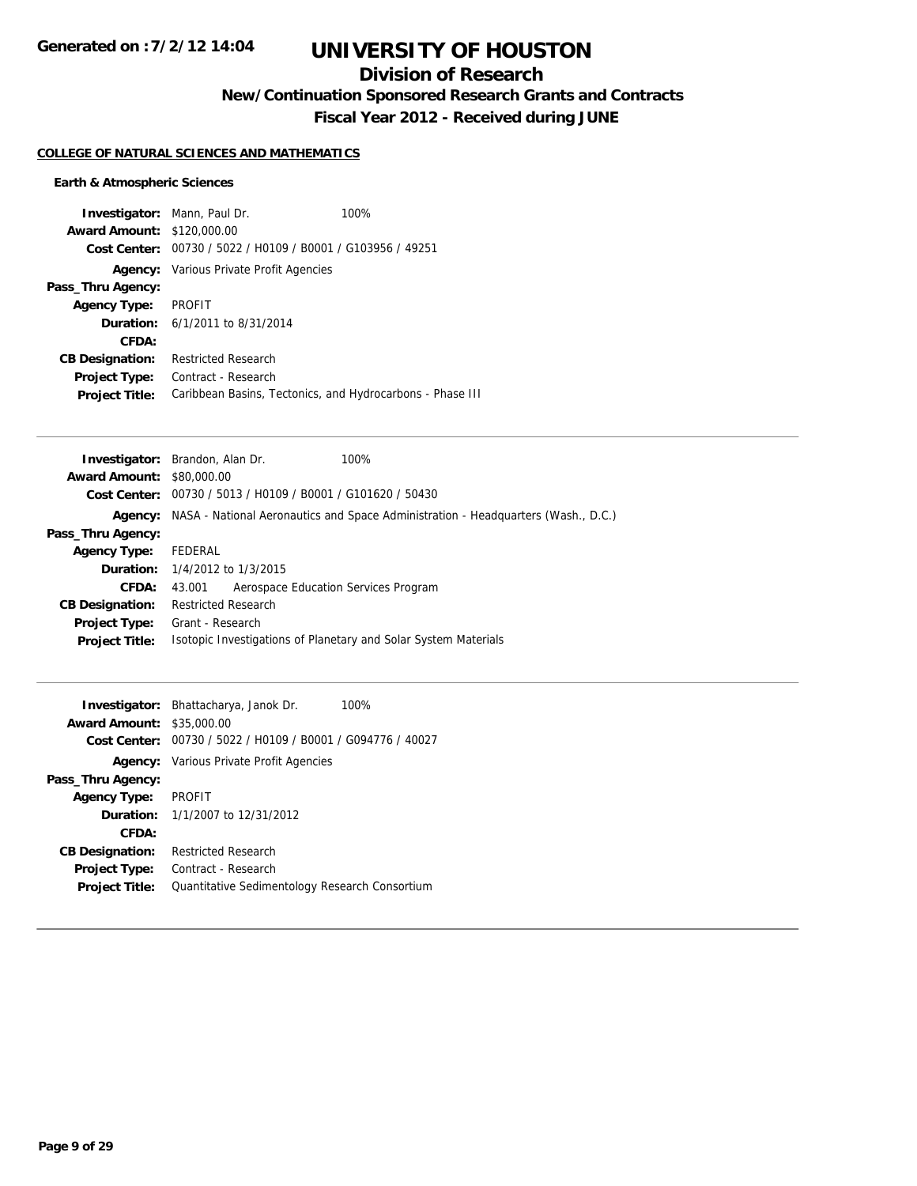# **UNIVERSITY OF HOUSTON**

## **Division of Research**

**New/Continuation Sponsored Research Grants and Contracts**

**Fiscal Year 2012 - Received during JUNE**

#### **COLLEGE OF NATURAL SCIENCES AND MATHEMATICS**

### **Earth & Atmospheric Sciences**

| <b>Investigator:</b> Mann, Paul Dr. |                                                             | 100% |
|-------------------------------------|-------------------------------------------------------------|------|
| <b>Award Amount: \$120,000.00</b>   |                                                             |      |
|                                     | Cost Center: 00730 / 5022 / H0109 / B0001 / G103956 / 49251 |      |
|                                     | <b>Agency:</b> Various Private Profit Agencies              |      |
| Pass_Thru Agency:                   |                                                             |      |
| <b>Agency Type:</b>                 | PROFIT                                                      |      |
|                                     | <b>Duration:</b> 6/1/2011 to 8/31/2014                      |      |
| CFDA:                               |                                                             |      |
| <b>CB Designation:</b>              | <b>Restricted Research</b>                                  |      |
| <b>Project Type:</b>                | Contract - Research                                         |      |
| <b>Project Title:</b>               | Caribbean Basins, Tectonics, and Hydrocarbons - Phase III   |      |

|                                  | <b>Investigator:</b> Brandon, Alan Dr.                                            | 100% |
|----------------------------------|-----------------------------------------------------------------------------------|------|
| <b>Award Amount: \$80,000.00</b> |                                                                                   |      |
|                                  | <b>Cost Center:</b> $00730 / 5013 / 40109 / 80001 / 6101620 / 50430$              |      |
| Agency:                          | NASA - National Aeronautics and Space Administration - Headquarters (Wash., D.C.) |      |
| Pass_Thru Agency:                |                                                                                   |      |
| <b>Agency Type:</b>              | FEDERAL                                                                           |      |
|                                  | <b>Duration:</b> 1/4/2012 to 1/3/2015                                             |      |
| CFDA:                            | Aerospace Education Services Program<br>43.001                                    |      |
| <b>CB Designation:</b>           | <b>Restricted Research</b>                                                        |      |
| Project Type:                    | Grant - Research                                                                  |      |
| <b>Project Title:</b>            | Isotopic Investigations of Planetary and Solar System Materials                   |      |
|                                  |                                                                                   |      |

| <b>Award Amount: \$35,000.00</b> | <b>Investigator:</b> Bhattacharya, Janok Dr.<br>100%<br>Cost Center: 00730 / 5022 / H0109 / B0001 / G094776 / 40027 |
|----------------------------------|---------------------------------------------------------------------------------------------------------------------|
|                                  | <b>Agency:</b> Various Private Profit Agencies                                                                      |
| Pass_Thru Agency:                |                                                                                                                     |
| <b>Agency Type:</b>              | <b>PROFIT</b>                                                                                                       |
|                                  | <b>Duration:</b> $1/1/2007$ to $12/31/2012$                                                                         |
| CFDA:                            |                                                                                                                     |
| <b>CB Designation:</b>           | <b>Restricted Research</b>                                                                                          |
| <b>Project Type:</b>             | Contract - Research                                                                                                 |
| <b>Project Title:</b>            | Quantitative Sedimentology Research Consortium                                                                      |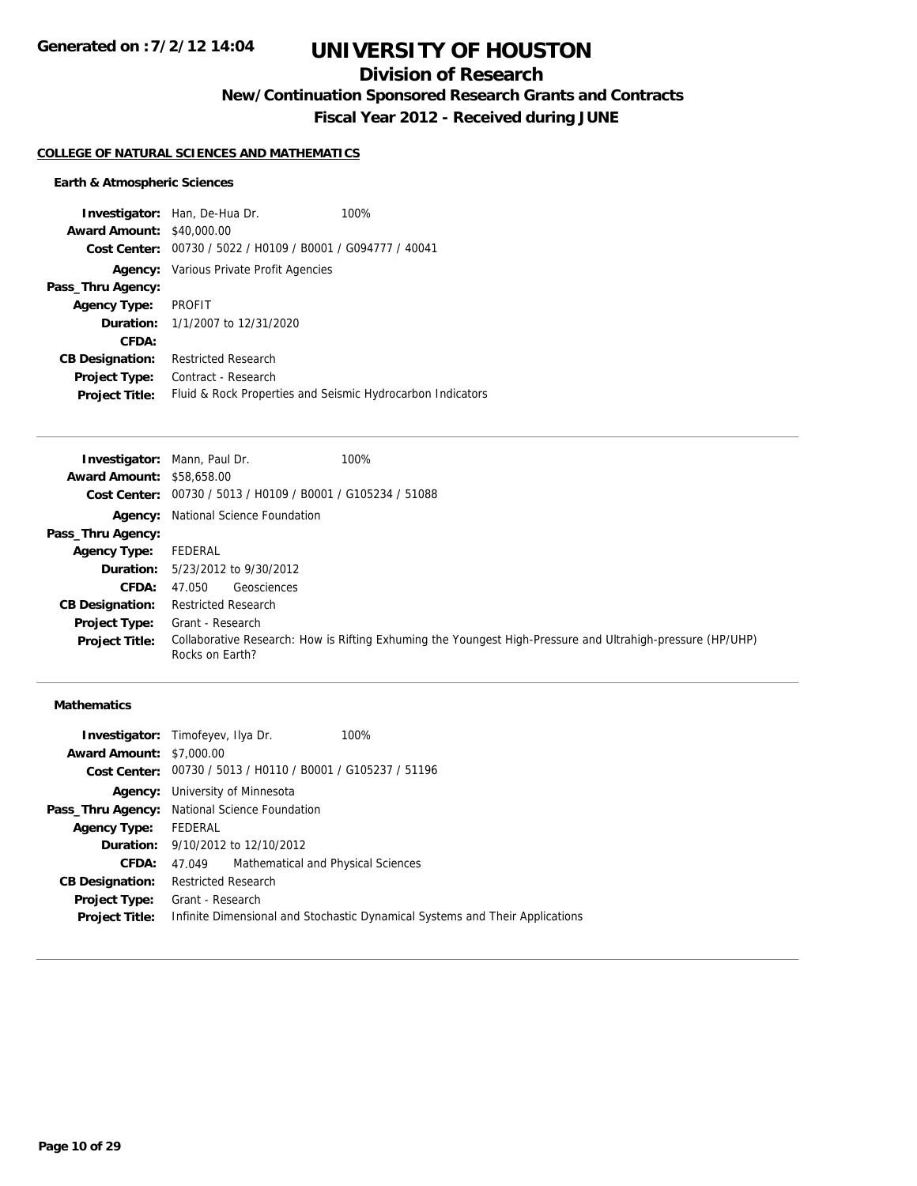## **Division of Research**

**New/Continuation Sponsored Research Grants and Contracts**

**Fiscal Year 2012 - Received during JUNE**

#### **COLLEGE OF NATURAL SCIENCES AND MATHEMATICS**

#### **Earth & Atmospheric Sciences**

**Investigator:** Han, De-Hua Dr. 100% **Award Amount:** \$40,000.00 **Cost Center:** 00730 / 5022 / H0109 / B0001 / G094777 / 40041 **Agency:** Various Private Profit Agencies **Pass\_Thru Agency: Agency Type:** PROFIT **Duration:** 1/1/2007 to 12/31/2020 **CFDA: CB Designation:** Restricted Research **Project Type:** Contract - Research **Project Title:** Fluid & Rock Properties and Seismic Hydrocarbon Indicators

**Investigator:** Mann, Paul Dr. 100% **Award Amount:** \$58,658.00 **Cost Center:** 00730 / 5013 / H0109 / B0001 / G105234 / 51088 **Agency:** National Science Foundation **Pass\_Thru Agency: Agency Type:** FEDERAL **Duration:** 5/23/2012 to 9/30/2012 **CFDA:** 47.050 Geosciences **CB Designation:** Restricted Research **Project Type:** Grant - Research **Project Title:** Collaborative Research: How is Rifting Exhuming the Youngest High-Pressure and Ultrahigh-pressure (HP/UHP) Rocks on Earth?

#### **Mathematics**

|                                 | 100%                                                                                                                                                                                                                                                                                                                                   |
|---------------------------------|----------------------------------------------------------------------------------------------------------------------------------------------------------------------------------------------------------------------------------------------------------------------------------------------------------------------------------------|
| <b>Award Amount: \$7,000.00</b> |                                                                                                                                                                                                                                                                                                                                        |
|                                 |                                                                                                                                                                                                                                                                                                                                        |
|                                 |                                                                                                                                                                                                                                                                                                                                        |
|                                 |                                                                                                                                                                                                                                                                                                                                        |
| Agency Type: FEDERAL            |                                                                                                                                                                                                                                                                                                                                        |
|                                 |                                                                                                                                                                                                                                                                                                                                        |
| 47.049                          |                                                                                                                                                                                                                                                                                                                                        |
|                                 |                                                                                                                                                                                                                                                                                                                                        |
|                                 |                                                                                                                                                                                                                                                                                                                                        |
|                                 | Infinite Dimensional and Stochastic Dynamical Systems and Their Applications                                                                                                                                                                                                                                                           |
|                                 | <b>Investigator:</b> Timofeyev, Ilya Dr.<br>Cost Center: 00730 / 5013 / H0110 / B0001 / G105237 / 51196<br><b>Agency:</b> University of Minnesota<br>Pass_Thru Agency: National Science Foundation<br><b>Duration:</b> 9/10/2012 to 12/10/2012<br>Mathematical and Physical Sciences<br><b>Restricted Research</b><br>Grant - Research |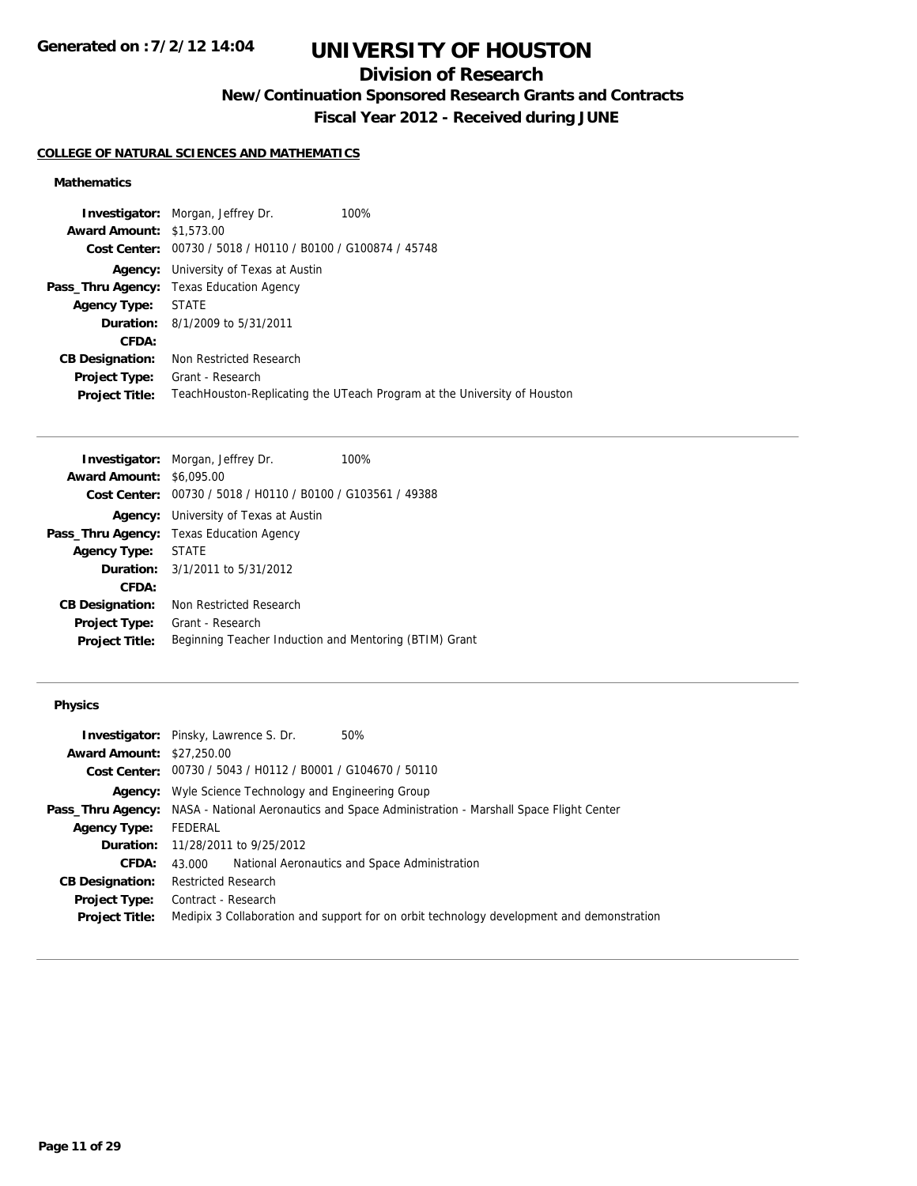# **UNIVERSITY OF HOUSTON**

## **Division of Research**

**New/Continuation Sponsored Research Grants and Contracts**

**Fiscal Year 2012 - Received during JUNE**

#### **COLLEGE OF NATURAL SCIENCES AND MATHEMATICS**

### **Mathematics**

|                                 | <b>Investigator:</b> Morgan, Jeffrey Dr.                    | 100%                                                                     |
|---------------------------------|-------------------------------------------------------------|--------------------------------------------------------------------------|
| <b>Award Amount: \$1,573.00</b> |                                                             |                                                                          |
|                                 | Cost Center: 00730 / 5018 / H0110 / B0100 / G100874 / 45748 |                                                                          |
| Agency:                         | University of Texas at Austin                               |                                                                          |
|                                 | <b>Pass_Thru Agency:</b> Texas Education Agency             |                                                                          |
| <b>Agency Type: STATE</b>       |                                                             |                                                                          |
|                                 | <b>Duration:</b> 8/1/2009 to 5/31/2011                      |                                                                          |
| CFDA:                           |                                                             |                                                                          |
| <b>CB Designation:</b>          | Non Restricted Research                                     |                                                                          |
| <b>Project Type:</b>            | Grant - Research                                            |                                                                          |
| <b>Project Title:</b>           |                                                             | TeachHouston-Replicating the UTeach Program at the University of Houston |
|                                 |                                                             |                                                                          |

|                                                             | 100%                                                                                                                                                                                                                         |
|-------------------------------------------------------------|------------------------------------------------------------------------------------------------------------------------------------------------------------------------------------------------------------------------------|
|                                                             |                                                                                                                                                                                                                              |
| Cost Center: 00730 / 5018 / H0110 / B0100 / G103561 / 49388 |                                                                                                                                                                                                                              |
|                                                             |                                                                                                                                                                                                                              |
|                                                             |                                                                                                                                                                                                                              |
| <b>STATE</b>                                                |                                                                                                                                                                                                                              |
|                                                             |                                                                                                                                                                                                                              |
|                                                             |                                                                                                                                                                                                                              |
| Non Restricted Research                                     |                                                                                                                                                                                                                              |
| Grant - Research                                            |                                                                                                                                                                                                                              |
| Beginning Teacher Induction and Mentoring (BTIM) Grant      |                                                                                                                                                                                                                              |
|                                                             | <b>Investigator:</b> Morgan, Jeffrey Dr.<br><b>Award Amount: \$6,095,00</b><br><b>Agency:</b> University of Texas at Austin<br><b>Pass_Thru Agency:</b> Texas Education Agency<br><b>Duration:</b> $3/1/2011$ to $5/31/2012$ |

### **Physics**

|                                  | <b>Investigator:</b> Pinsky, Lawrence S. Dr.<br>50%                                                   |
|----------------------------------|-------------------------------------------------------------------------------------------------------|
| <b>Award Amount: \$27,250.00</b> |                                                                                                       |
|                                  | Cost Center: 00730 / 5043 / H0112 / B0001 / G104670 / 50110                                           |
|                                  | <b>Agency:</b> Wyle Science Technology and Engineering Group                                          |
|                                  | Pass_Thru Agency: NASA - National Aeronautics and Space Administration - Marshall Space Flight Center |
| <b>Agency Type:</b>              | FEDERAL                                                                                               |
|                                  | <b>Duration:</b> 11/28/2011 to 9/25/2012                                                              |
| <b>CFDA:</b>                     | National Aeronautics and Space Administration<br>43.000                                               |
| <b>CB Designation:</b>           | <b>Restricted Research</b>                                                                            |
| Project Type:                    | Contract - Research                                                                                   |
| <b>Project Title:</b>            | Medipix 3 Collaboration and support for on orbit technology development and demonstration             |
|                                  |                                                                                                       |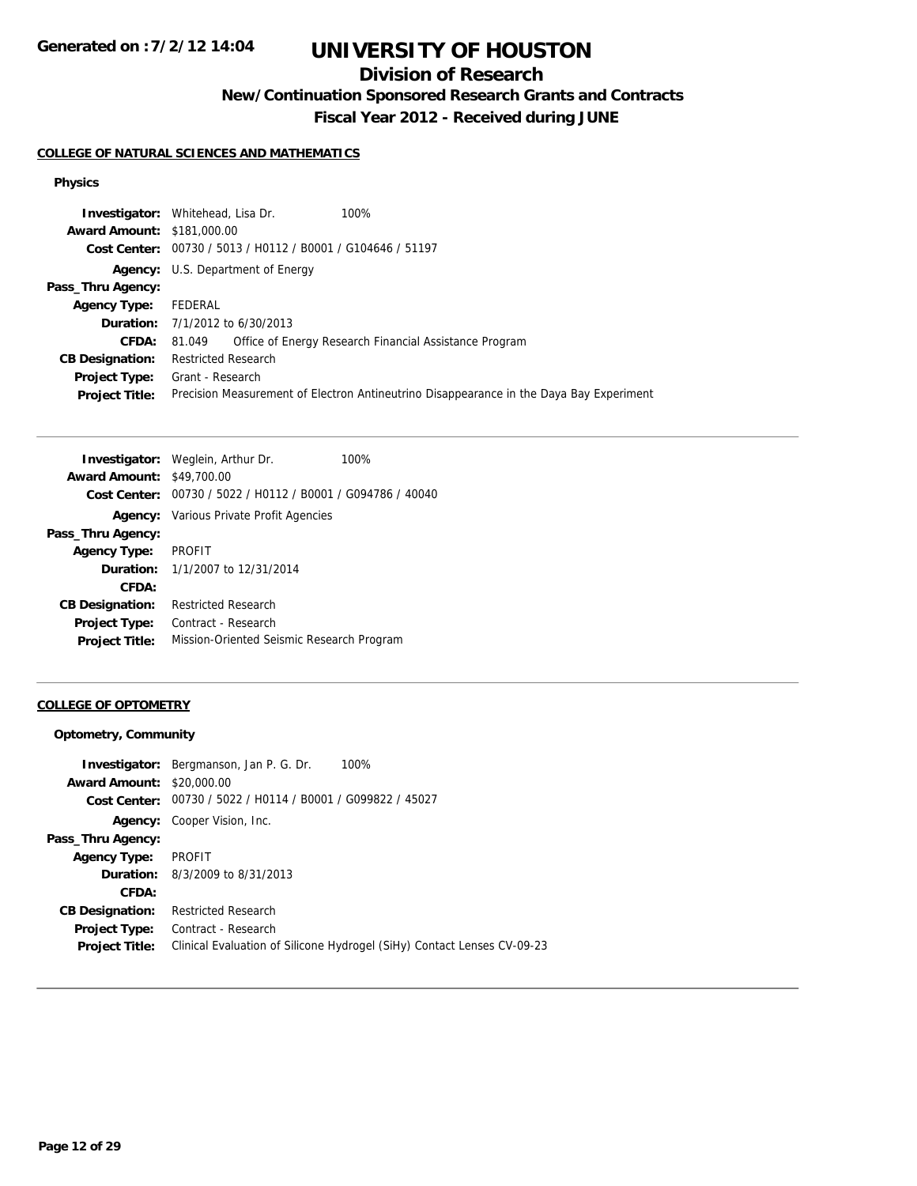# **UNIVERSITY OF HOUSTON**

## **Division of Research**

**New/Continuation Sponsored Research Grants and Contracts**

**Fiscal Year 2012 - Received during JUNE**

### **COLLEGE OF NATURAL SCIENCES AND MATHEMATICS**

### **Physics**

|                                   | 100%<br><b>Investigator:</b> Whitehead, Lisa Dr.                                        |
|-----------------------------------|-----------------------------------------------------------------------------------------|
| <b>Award Amount: \$181,000.00</b> |                                                                                         |
|                                   | Cost Center: 00730 / 5013 / H0112 / B0001 / G104646 / 51197                             |
|                                   | <b>Agency:</b> U.S. Department of Energy                                                |
| Pass_Thru Agency:                 |                                                                                         |
| <b>Agency Type:</b>               | FEDERAL                                                                                 |
|                                   | <b>Duration:</b> 7/1/2012 to 6/30/2013                                                  |
| <b>CFDA:</b>                      | Office of Energy Research Financial Assistance Program<br>81.049                        |
| <b>CB Designation:</b>            | <b>Restricted Research</b>                                                              |
| Project Type:                     | Grant - Research                                                                        |
| <b>Project Title:</b>             | Precision Measurement of Electron Antineutrino Disappearance in the Daya Bay Experiment |
|                                   |                                                                                         |

| <b>Investigator:</b> Weglein, Arthur Dr.                    | 100% |
|-------------------------------------------------------------|------|
| <b>Award Amount: \$49,700.00</b>                            |      |
| Cost Center: 00730 / 5022 / H0112 / B0001 / G094786 / 40040 |      |
| <b>Agency:</b> Various Private Profit Agencies              |      |
|                                                             |      |
| <b>PROFIT</b>                                               |      |
| <b>Duration:</b> 1/1/2007 to 12/31/2014                     |      |
|                                                             |      |
| <b>Restricted Research</b>                                  |      |
| Contract - Research                                         |      |
| Mission-Oriented Seismic Research Program                   |      |
|                                                             |      |

### **COLLEGE OF OPTOMETRY**

### **Optometry, Community**

|                        | 100%<br><b>Investigator:</b> Bergmanson, Jan P. G. Dr.                  |
|------------------------|-------------------------------------------------------------------------|
| <b>Award Amount:</b>   | \$20,000.00                                                             |
|                        | Cost Center: 00730 / 5022 / H0114 / B0001 / G099822 / 45027             |
|                        | <b>Agency:</b> Cooper Vision, Inc.                                      |
| Pass_Thru Agency:      |                                                                         |
| <b>Agency Type:</b>    | PROFIT                                                                  |
|                        | <b>Duration:</b> 8/3/2009 to 8/31/2013                                  |
| CFDA:                  |                                                                         |
| <b>CB Designation:</b> | <b>Restricted Research</b>                                              |
| <b>Project Type:</b>   | Contract - Research                                                     |
| <b>Project Title:</b>  | Clinical Evaluation of Silicone Hydrogel (SiHy) Contact Lenses CV-09-23 |
|                        |                                                                         |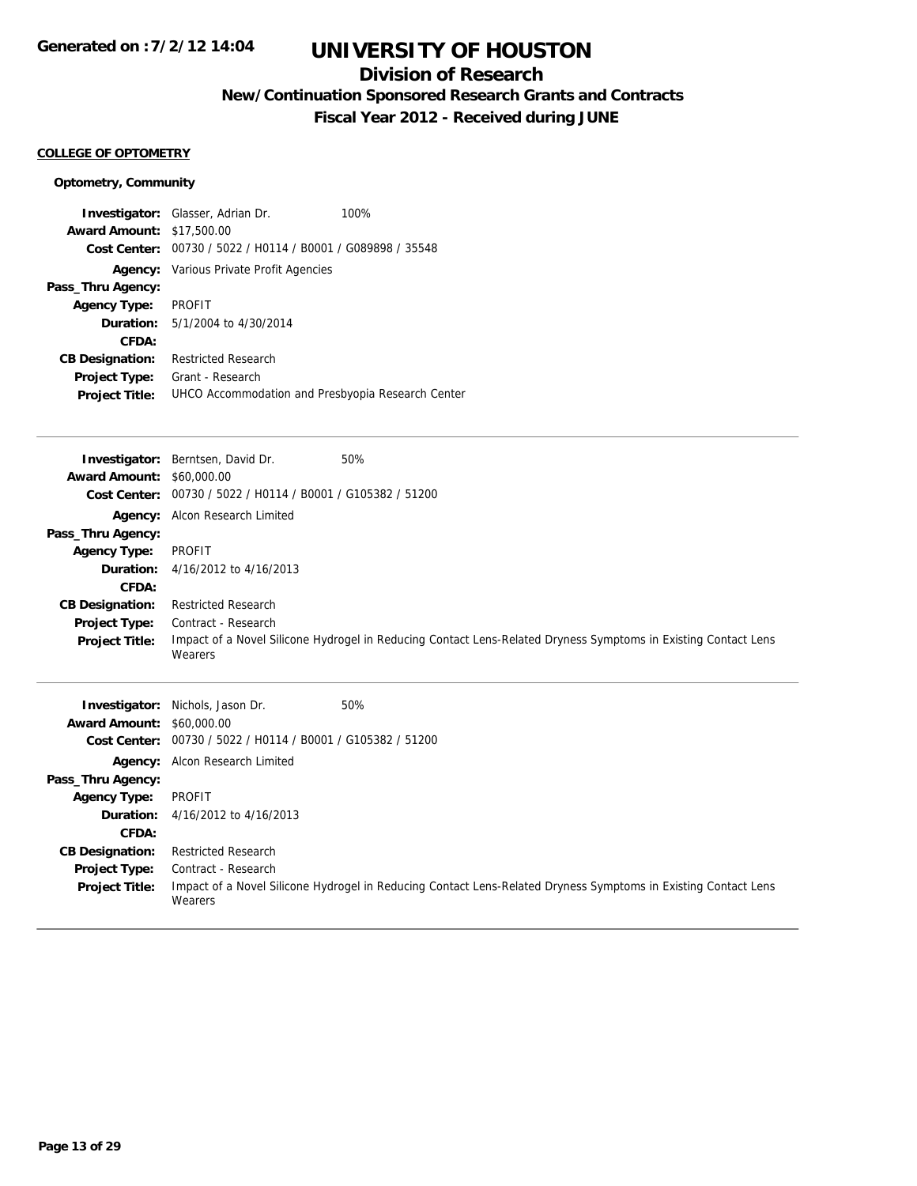## **Division of Research**

**New/Continuation Sponsored Research Grants and Contracts**

**Fiscal Year 2012 - Received during JUNE**

#### **COLLEGE OF OPTOMETRY**

### **Optometry, Community**

|                                  | <b>Investigator:</b> Glasser, Adrian Dr.                    | 100% |
|----------------------------------|-------------------------------------------------------------|------|
| <b>Award Amount: \$17,500.00</b> |                                                             |      |
|                                  | Cost Center: 00730 / 5022 / H0114 / B0001 / G089898 / 35548 |      |
|                                  | <b>Agency:</b> Various Private Profit Agencies              |      |
| Pass_Thru Agency:                |                                                             |      |
| <b>Agency Type:</b>              | <b>PROFIT</b>                                               |      |
| <b>Duration:</b>                 | 5/1/2004 to 4/30/2014                                       |      |
| CFDA:                            |                                                             |      |
| <b>CB Designation:</b>           | <b>Restricted Research</b>                                  |      |
| Project Type:                    | Grant - Research                                            |      |
| <b>Project Title:</b>            | UHCO Accommodation and Presbyopia Research Center           |      |

| <b>Award Amount: \$60,000.00</b> | <b>Investigator:</b> Berntsen, David Dr.                    | 50%                                                                                                            |
|----------------------------------|-------------------------------------------------------------|----------------------------------------------------------------------------------------------------------------|
|                                  | Cost Center: 00730 / 5022 / H0114 / B0001 / G105382 / 51200 |                                                                                                                |
|                                  | Agency: Alcon Research Limited                              |                                                                                                                |
| Pass_Thru Agency:                |                                                             |                                                                                                                |
| <b>Agency Type:</b>              | <b>PROFIT</b>                                               |                                                                                                                |
| Duration:                        | 4/16/2012 to 4/16/2013                                      |                                                                                                                |
| CFDA:                            |                                                             |                                                                                                                |
| <b>CB Designation:</b>           | <b>Restricted Research</b>                                  |                                                                                                                |
| Project Type:                    | Contract - Research                                         |                                                                                                                |
| <b>Project Title:</b>            | Wearers                                                     | Impact of a Novel Silicone Hydrogel in Reducing Contact Lens-Related Dryness Symptoms in Existing Contact Lens |
|                                  |                                                             |                                                                                                                |
|                                  | <b>Investigator:</b> Nichols, Jason Dr.                     | 50%                                                                                                            |
| <b>Award Amount: \$60,000.00</b> |                                                             |                                                                                                                |
| <b>Cost Center:</b>              | 00730 / 5022 / H0114 / B0001 / G105382 / 51200              |                                                                                                                |
|                                  | Agency: Alcon Research Limited                              |                                                                                                                |
| Pass_Thru Agency:                |                                                             |                                                                                                                |
| <b>Agency Type:</b>              | <b>PROFIT</b>                                               |                                                                                                                |
| Duration:                        | 4/16/2012 to 4/16/2013                                      |                                                                                                                |

**Project Type: Project Title:** Impact of a Novel Silicone Hydrogel in Reducing Contact Lens-Related Dryness Symptoms in Existing Contact Lens Wearers Contract - Research

**CB Designation:** Restricted Research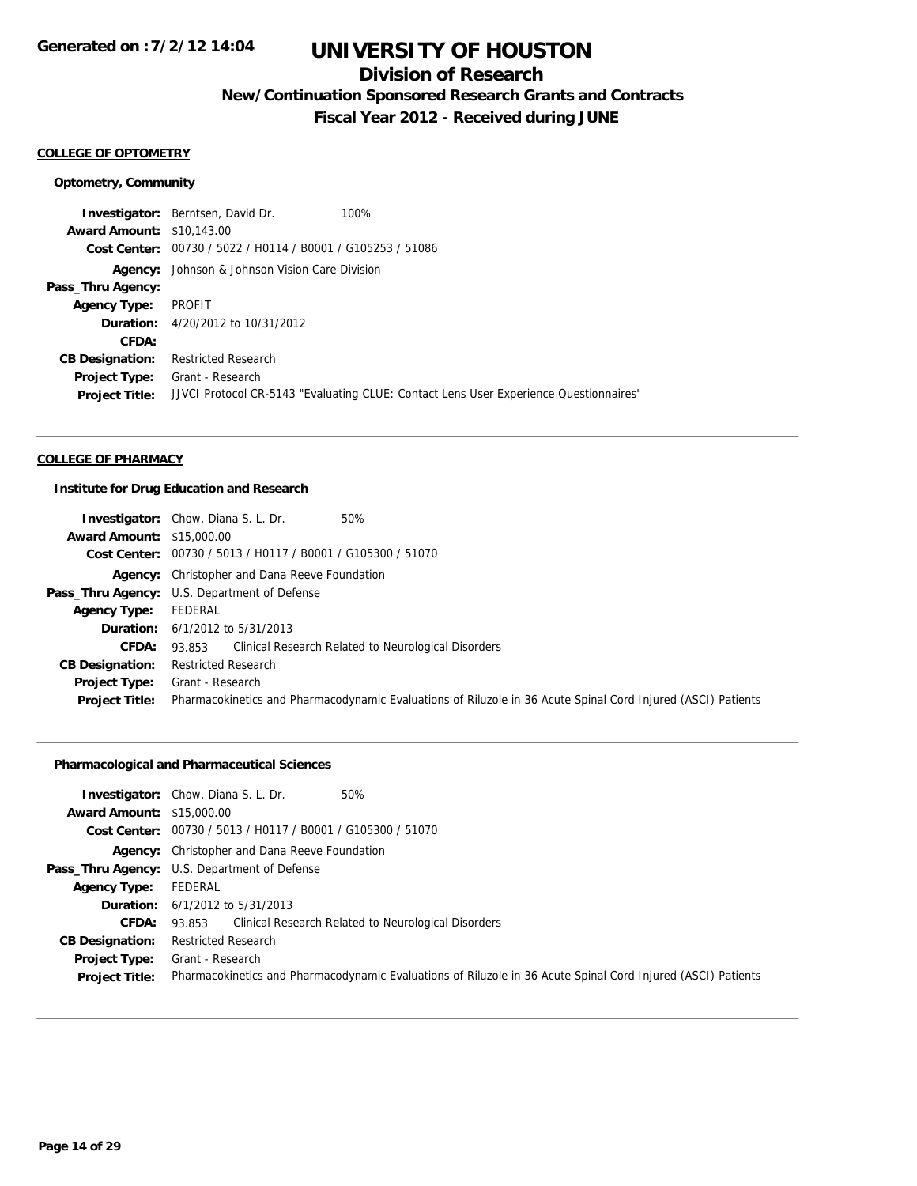## **Division of Research**

**New/Continuation Sponsored Research Grants and Contracts**

**Fiscal Year 2012 - Received during JUNE**

#### **COLLEGE OF OPTOMETRY**

#### **Optometry, Community**

**Investigator:** Berntsen, David Dr. 100% **Award Amount:** \$10,143.00 **Cost Center:** 00730 / 5022 / H0114 / B0001 / G105253 / 51086 **Agency:** Johnson & Johnson Vision Care Division **Pass\_Thru Agency: Agency Type:** PROFIT **Duration:** 4/20/2012 to 10/31/2012 **CFDA: CB Designation:** Restricted Research **Project Type:** Grant - Research **Project Title:** JJVCI Protocol CR-5143 "Evaluating CLUE: Contact Lens User Experience Questionnaires"

#### **COLLEGE OF PHARMACY**

#### **Institute for Drug Education and Research**

|                                  | <b>Investigator:</b> Chow, Diana S. L. Dr.<br>50%                                                            |
|----------------------------------|--------------------------------------------------------------------------------------------------------------|
| <b>Award Amount: \$15,000.00</b> |                                                                                                              |
|                                  | Cost Center: 00730 / 5013 / H0117 / B0001 / G105300 / 51070                                                  |
|                                  | <b>Agency:</b> Christopher and Dana Reeve Foundation                                                         |
|                                  | <b>Pass_Thru Agency:</b> U.S. Department of Defense                                                          |
| <b>Agency Type:</b>              | FEDERAL                                                                                                      |
|                                  | <b>Duration:</b> $6/1/2012$ to $5/31/2013$                                                                   |
| <b>CFDA:</b>                     | 93.853 Clinical Research Related to Neurological Disorders                                                   |
| <b>CB Designation:</b>           | <b>Restricted Research</b>                                                                                   |
| Project Type:                    | Grant - Research                                                                                             |
| <b>Project Title:</b>            | Pharmacokinetics and Pharmacodynamic Evaluations of Riluzole in 36 Acute Spinal Cord Injured (ASCI) Patients |

### **Pharmacological and Pharmaceutical Sciences**

|                                  | <b>Investigator:</b> Chow, Diana S. L. Dr.<br>50%                                                            |  |  |
|----------------------------------|--------------------------------------------------------------------------------------------------------------|--|--|
| <b>Award Amount: \$15,000.00</b> |                                                                                                              |  |  |
|                                  | Cost Center: 00730 / 5013 / H0117 / B0001 / G105300 / 51070                                                  |  |  |
|                                  | <b>Agency:</b> Christopher and Dana Reeve Foundation                                                         |  |  |
|                                  | Pass_Thru Agency: U.S. Department of Defense                                                                 |  |  |
| <b>Agency Type:</b>              | FEDERAL                                                                                                      |  |  |
|                                  | <b>Duration:</b> 6/1/2012 to 5/31/2013                                                                       |  |  |
| <b>CFDA:</b>                     | 93.853 Clinical Research Related to Neurological Disorders                                                   |  |  |
| <b>CB Designation:</b>           | <b>Restricted Research</b>                                                                                   |  |  |
| Project Type:                    | Grant - Research                                                                                             |  |  |
| <b>Project Title:</b>            | Pharmacokinetics and Pharmacodynamic Evaluations of Riluzole in 36 Acute Spinal Cord Injured (ASCI) Patients |  |  |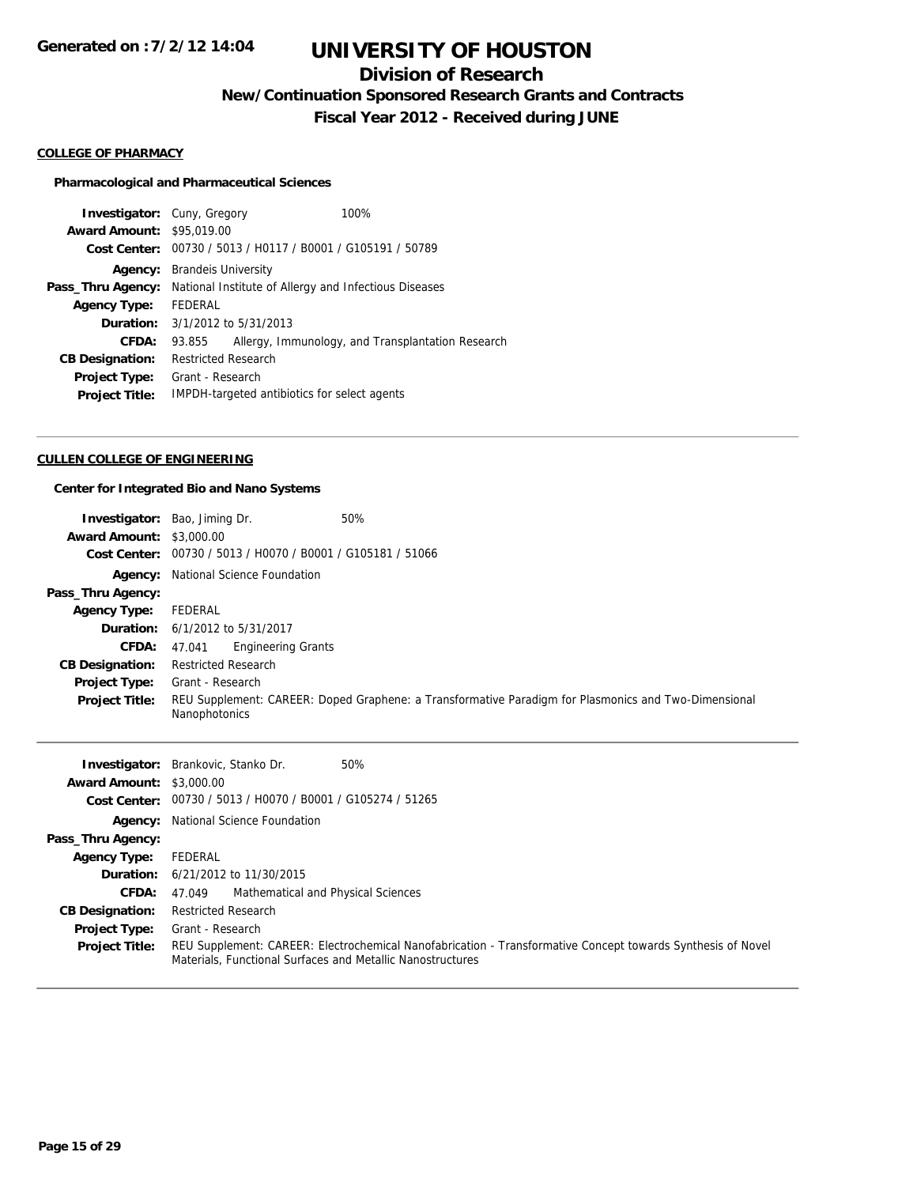## **Division of Research**

**New/Continuation Sponsored Research Grants and Contracts**

**Fiscal Year 2012 - Received during JUNE**

#### **COLLEGE OF PHARMACY**

#### **Pharmacological and Pharmaceutical Sciences**

| <b>Investigator:</b> Cuny, Gregory | 100%                                                        |  |
|------------------------------------|-------------------------------------------------------------|--|
| <b>Award Amount: \$95,019.00</b>   |                                                             |  |
| Cost Center:                       | 00730 / 5013 / H0117 / B0001 / G105191 / 50789              |  |
| Agency:                            | <b>Brandels University</b>                                  |  |
| Pass_Thru Agency:                  | National Institute of Allergy and Infectious Diseases       |  |
| <b>Agency Type:</b>                | FFDFRAL                                                     |  |
| Duration:                          | 3/1/2012 to 5/31/2013                                       |  |
| CFDA:                              | Allergy, Immunology, and Transplantation Research<br>93.855 |  |
| <b>CB Designation:</b>             | <b>Restricted Research</b>                                  |  |
| <b>Project Type:</b>               | Grant - Research                                            |  |
| <b>Project Title:</b>              | IMPDH-targeted antibiotics for select agents                |  |

#### **CULLEN COLLEGE OF ENGINEERING**

### **Center for Integrated Bio and Nano Systems**

|                                                  | Bao, Jiming Dr.<br>50%                                                                                                |
|--------------------------------------------------|-----------------------------------------------------------------------------------------------------------------------|
| Investigator:<br><b>Award Amount: \$3,000.00</b> |                                                                                                                       |
|                                                  | 00730 / 5013 / H0070 / B0001 / G105181 / 51066                                                                        |
| <b>Cost Center:</b>                              |                                                                                                                       |
| Agency:                                          | National Science Foundation                                                                                           |
| Pass_Thru Agency:                                |                                                                                                                       |
| <b>Agency Type:</b>                              | FEDERAL                                                                                                               |
| Duration:                                        | 6/1/2012 to 5/31/2017                                                                                                 |
| <b>CFDA:</b>                                     | 47.041<br><b>Engineering Grants</b>                                                                                   |
| <b>CB Designation:</b>                           | <b>Restricted Research</b>                                                                                            |
| <b>Project Type:</b>                             | Grant - Research                                                                                                      |
| <b>Project Title:</b>                            | REU Supplement: CAREER: Doped Graphene: a Transformative Paradigm for Plasmonics and Two-Dimensional<br>Nanophotonics |
|                                                  |                                                                                                                       |
|                                                  |                                                                                                                       |
| Investigator:                                    | Brankovic, Stanko Dr.<br>50%                                                                                          |
| <b>Award Amount: \$3,000.00</b>                  |                                                                                                                       |
| Cost Center:                                     | 00730 / 5013 / H0070 / B0001 / G105274 / 51265                                                                        |
| Agency:                                          | National Science Foundation                                                                                           |
| Pass_Thru Agency:                                |                                                                                                                       |
| <b>Agency Type:</b>                              | FEDERAL                                                                                                               |
| Duration:                                        | 6/21/2012 to 11/30/2015                                                                                               |
| <b>CFDA:</b>                                     | Mathematical and Physical Sciences<br>47.049                                                                          |
| <b>CB Designation:</b>                           | <b>Restricted Research</b>                                                                                            |
| Project Type:                                    | Grant - Research                                                                                                      |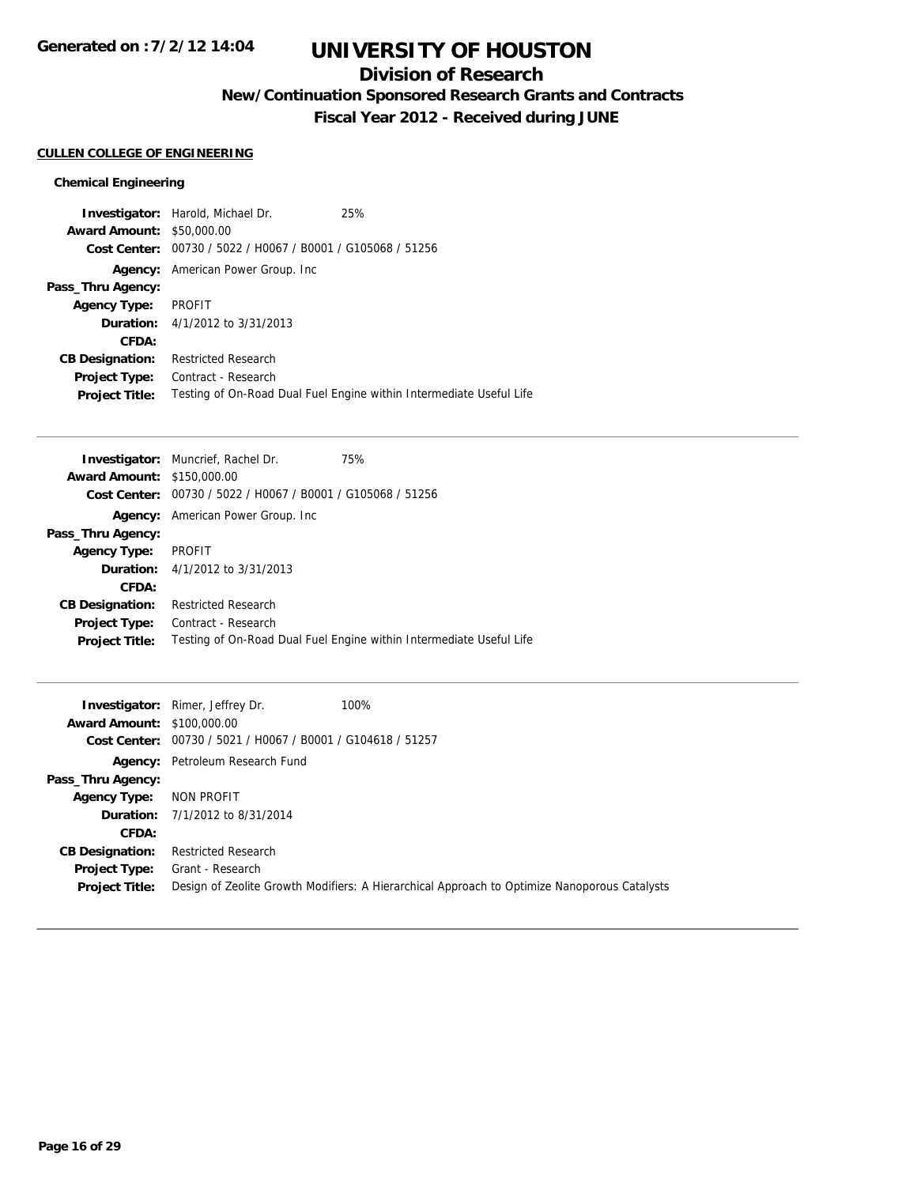# **UNIVERSITY OF HOUSTON**

## **Division of Research**

**New/Continuation Sponsored Research Grants and Contracts**

**Fiscal Year 2012 - Received during JUNE**

#### **CULLEN COLLEGE OF ENGINEERING**

### **Chemical Engineering**

|                                  | <b>Investigator:</b> Harold, Michael Dr.       | 25%                                                                 |
|----------------------------------|------------------------------------------------|---------------------------------------------------------------------|
| <b>Award Amount: \$50,000.00</b> |                                                |                                                                     |
| Cost Center:                     | 00730 / 5022 / H0067 / B0001 / G105068 / 51256 |                                                                     |
| Agency:                          | American Power Group. Inc                      |                                                                     |
| Pass_Thru Agency:                |                                                |                                                                     |
| <b>Agency Type:</b>              | PROFIT                                         |                                                                     |
|                                  | <b>Duration:</b> 4/1/2012 to 3/31/2013         |                                                                     |
| CFDA:                            |                                                |                                                                     |
| <b>CB Designation:</b>           | <b>Restricted Research</b>                     |                                                                     |
| <b>Project Type:</b>             | Contract - Research                            |                                                                     |
| <b>Project Title:</b>            |                                                | Testing of On-Road Dual Fuel Engine within Intermediate Useful Life |

|                                                | 75%                                                                                                                                                       |
|------------------------------------------------|-----------------------------------------------------------------------------------------------------------------------------------------------------------|
|                                                |                                                                                                                                                           |
| 00730 / 5022 / H0067 / B0001 / G105068 / 51256 |                                                                                                                                                           |
|                                                |                                                                                                                                                           |
|                                                |                                                                                                                                                           |
| <b>PROFIT</b>                                  |                                                                                                                                                           |
|                                                |                                                                                                                                                           |
|                                                |                                                                                                                                                           |
| <b>Restricted Research</b>                     |                                                                                                                                                           |
| Contract - Research                            |                                                                                                                                                           |
|                                                | Testing of On-Road Dual Fuel Engine within Intermediate Useful Life                                                                                       |
|                                                | <b>Investigator:</b> Muncrief, Rachel Dr.<br><b>Award Amount: \$150,000.00</b><br>American Power Group. Inc<br><b>Duration:</b> $4/1/2012$ to $3/31/2013$ |

| <b>Award Amount: \$100,000.00</b>      | 100%<br><b>Investigator:</b> Rimer, Jeffrey Dr.                                                                  |
|----------------------------------------|------------------------------------------------------------------------------------------------------------------|
|                                        | Cost Center: 00730 / 5021 / H0067 / B0001 / G104618 / 51257                                                      |
|                                        | <b>Agency:</b> Petroleum Research Fund                                                                           |
| Pass_Thru Agency:                      |                                                                                                                  |
| <b>Agency Type:</b>                    | NON PROFIT                                                                                                       |
|                                        | <b>Duration:</b> 7/1/2012 to 8/31/2014                                                                           |
| CFDA:                                  |                                                                                                                  |
| <b>CB Designation:</b>                 | <b>Restricted Research</b>                                                                                       |
| Project Type:<br><b>Project Title:</b> | Grant - Research<br>Design of Zeolite Growth Modifiers: A Hierarchical Approach to Optimize Nanoporous Catalysts |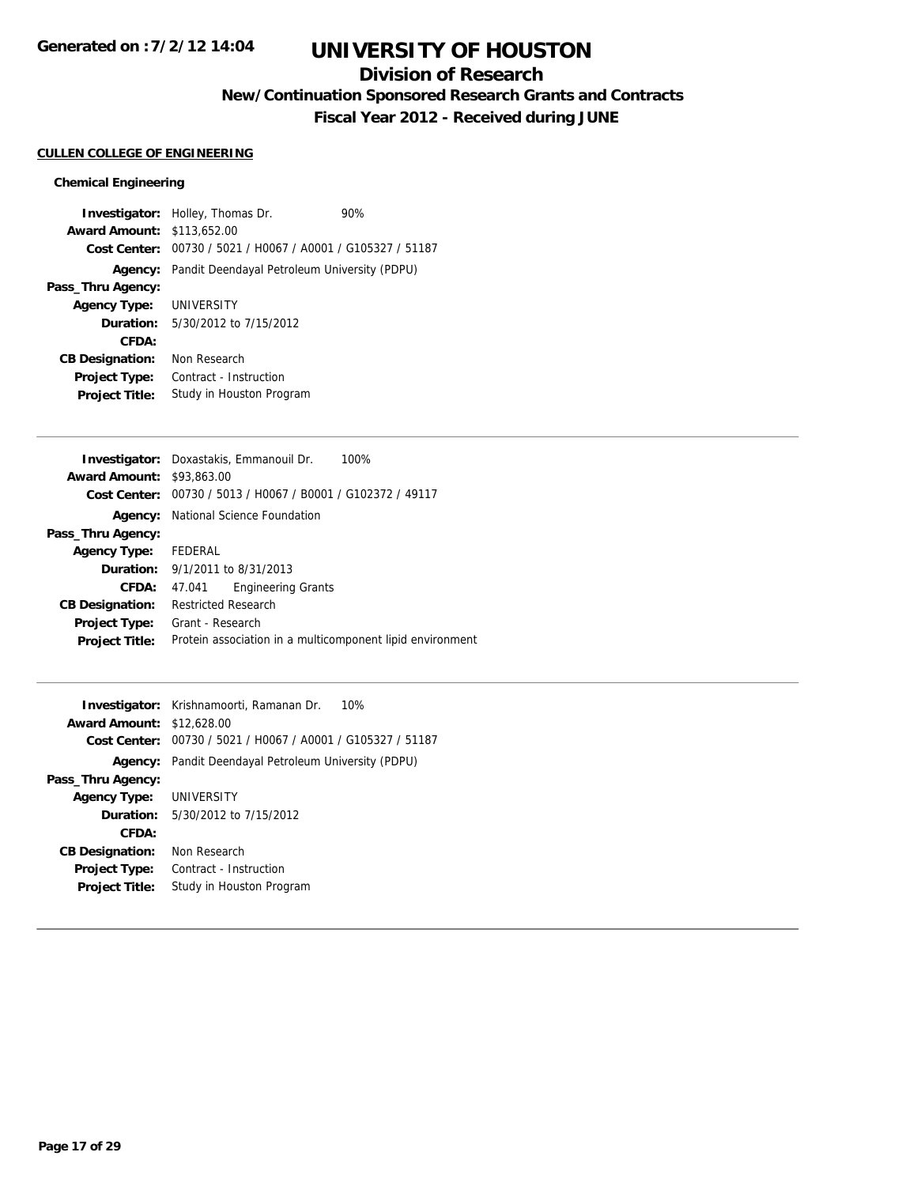## **Division of Research**

**New/Continuation Sponsored Research Grants and Contracts**

**Fiscal Year 2012 - Received during JUNE**

#### **CULLEN COLLEGE OF ENGINEERING**

#### **Chemical Engineering**

**Investigator:** Holley, Thomas Dr. 90% **Award Amount:** \$113,652.00 **Cost Center:** 00730 / 5021 / H0067 / A0001 / G105327 / 51187 **Agency:** Pandit Deendayal Petroleum University (PDPU) **Pass\_Thru Agency: Agency Type:** UNIVERSITY **Duration:** 5/30/2012 to 7/15/2012 **CFDA: CB Designation:** Non Research **Project Type:** Contract - Instruction **Project Title:** Study in Houston Program

|                                  | <b>Investigator:</b> Doxastakis, Emmanouil Dr.<br>100%      |  |
|----------------------------------|-------------------------------------------------------------|--|
| <b>Award Amount: \$93,863,00</b> |                                                             |  |
|                                  | Cost Center: 00730 / 5013 / H0067 / B0001 / G102372 / 49117 |  |
|                                  | <b>Agency:</b> National Science Foundation                  |  |
| Pass_Thru Agency:                |                                                             |  |
| <b>Agency Type:</b> FEDERAL      |                                                             |  |
|                                  | <b>Duration:</b> 9/1/2011 to 8/31/2013                      |  |
| CFDA:                            | <b>Engineering Grants</b><br>47.041                         |  |
| <b>CB Designation:</b>           | <b>Restricted Research</b>                                  |  |
| <b>Project Type:</b>             | Grant - Research                                            |  |
| <b>Project Title:</b>            | Protein association in a multicomponent lipid environment   |  |
|                                  |                                                             |  |

|                                  | <b>Investigator:</b> Krishnamoorti, Ramanan Dr.<br>10% |
|----------------------------------|--------------------------------------------------------|
| <b>Award Amount: \$12,628.00</b> |                                                        |
| Cost Center:                     | 00730 / 5021 / H0067 / A0001 / G105327 / 51187         |
|                                  | Agency: Pandit Deendayal Petroleum University (PDPU)   |
| Pass_Thru Agency:                |                                                        |
| <b>Agency Type:</b>              | UNIVERSITY                                             |
|                                  | <b>Duration:</b> $5/30/2012$ to $7/15/2012$            |
| CFDA:                            |                                                        |
| <b>CB Designation:</b>           | Non Research                                           |
| <b>Project Type:</b>             | Contract - Instruction                                 |
| <b>Project Title:</b>            | Study in Houston Program                               |
|                                  |                                                        |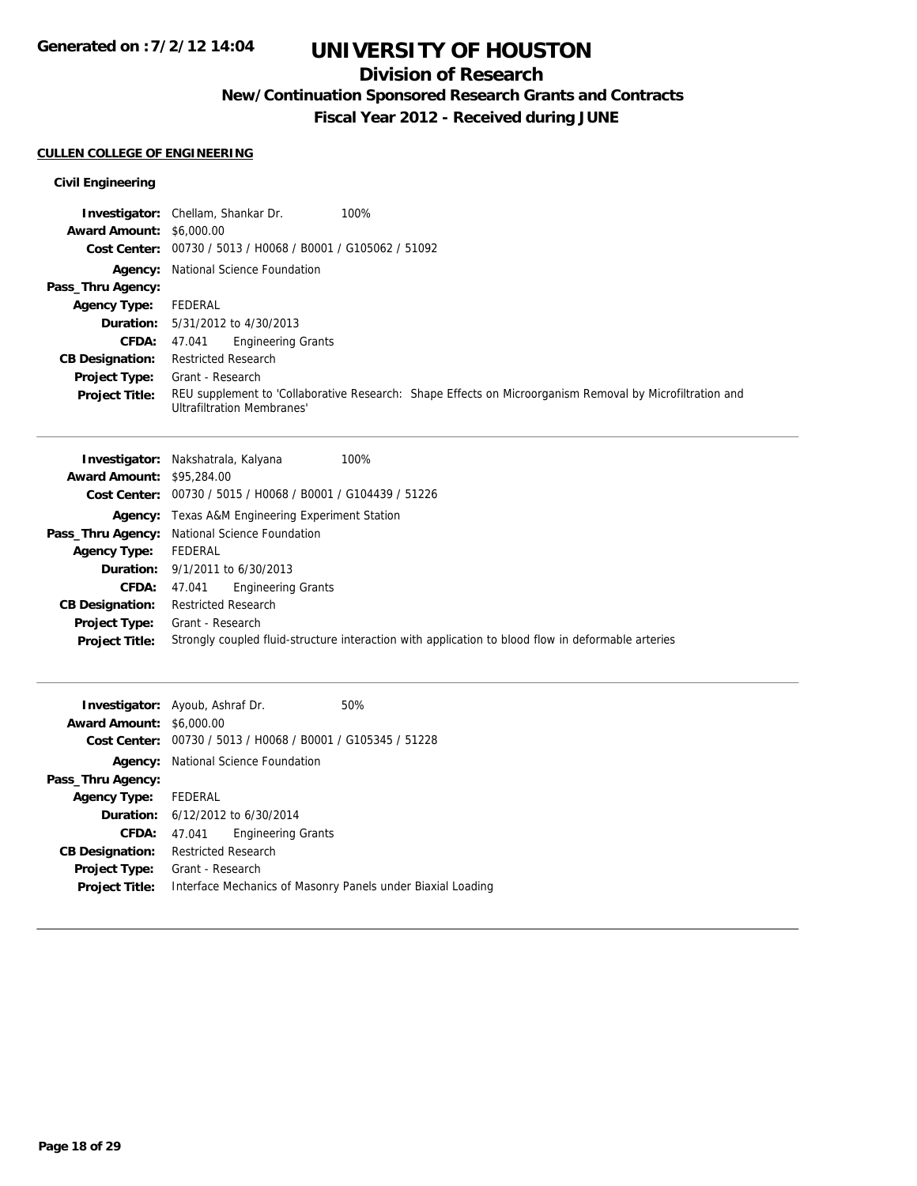## **Division of Research**

**New/Continuation Sponsored Research Grants and Contracts**

**Fiscal Year 2012 - Received during JUNE**

### **CULLEN COLLEGE OF ENGINEERING**

### **Civil Engineering**

|                                 | <b>Investigator:</b> Chellam, Shankar Dr.<br>100%                                                                                             |
|---------------------------------|-----------------------------------------------------------------------------------------------------------------------------------------------|
| <b>Award Amount: \$6,000.00</b> |                                                                                                                                               |
|                                 | Cost Center: 00730 / 5013 / H0068 / B0001 / G105062 / 51092                                                                                   |
|                                 | <b>Agency:</b> National Science Foundation                                                                                                    |
| Pass_Thru Agency:               |                                                                                                                                               |
| <b>Agency Type:</b>             | FEDERAL                                                                                                                                       |
|                                 | <b>Duration:</b> 5/31/2012 to 4/30/2013                                                                                                       |
| <b>CFDA:</b>                    | <b>Engineering Grants</b><br>47.041                                                                                                           |
| <b>CB Designation:</b>          | <b>Restricted Research</b>                                                                                                                    |
| <b>Project Type:</b>            | Grant - Research                                                                                                                              |
| <b>Project Title:</b>           | REU supplement to 'Collaborative Research: Shape Effects on Microorganism Removal by Microfiltration and<br><b>Ultrafiltration Membranes'</b> |

|                                  | 100%<br><b>Investigator:</b> Nakshatrala, Kalyana                                                  |
|----------------------------------|----------------------------------------------------------------------------------------------------|
| <b>Award Amount: \$95,284.00</b> |                                                                                                    |
|                                  | Cost Center: 00730 / 5015 / H0068 / B0001 / G104439 / 51226                                        |
|                                  | <b>Agency:</b> Texas A&M Engineering Experiment Station                                            |
|                                  | Pass_Thru Agency: National Science Foundation                                                      |
| <b>Agency Type:</b>              | FEDERAL                                                                                            |
|                                  | <b>Duration:</b> 9/1/2011 to 6/30/2013                                                             |
| <b>CFDA:</b>                     | 47.041 Engineering Grants                                                                          |
| <b>CB Designation:</b>           | <b>Restricted Research</b>                                                                         |
| <b>Project Type:</b>             | Grant - Research                                                                                   |
| <b>Project Title:</b>            | Strongly coupled fluid-structure interaction with application to blood flow in deformable arteries |
|                                  |                                                                                                    |

|                        | <b>Investigator:</b> Ayoub, Ashraf Dr.                      | 50%                                                         |
|------------------------|-------------------------------------------------------------|-------------------------------------------------------------|
| <b>Award Amount:</b>   | \$6,000.00                                                  |                                                             |
|                        | Cost Center: 00730 / 5013 / H0068 / B0001 / G105345 / 51228 |                                                             |
|                        | <b>Agency:</b> National Science Foundation                  |                                                             |
| Pass_Thru Agency:      |                                                             |                                                             |
| Agency Type: FEDERAL   |                                                             |                                                             |
|                        | <b>Duration:</b> $6/12/2012$ to $6/30/2014$                 |                                                             |
| CFDA:                  | <b>Engineering Grants</b><br>47.041                         |                                                             |
| <b>CB Designation:</b> | <b>Restricted Research</b>                                  |                                                             |
| <b>Project Type:</b>   | Grant - Research                                            |                                                             |
| <b>Project Title:</b>  |                                                             | Interface Mechanics of Masonry Panels under Biaxial Loading |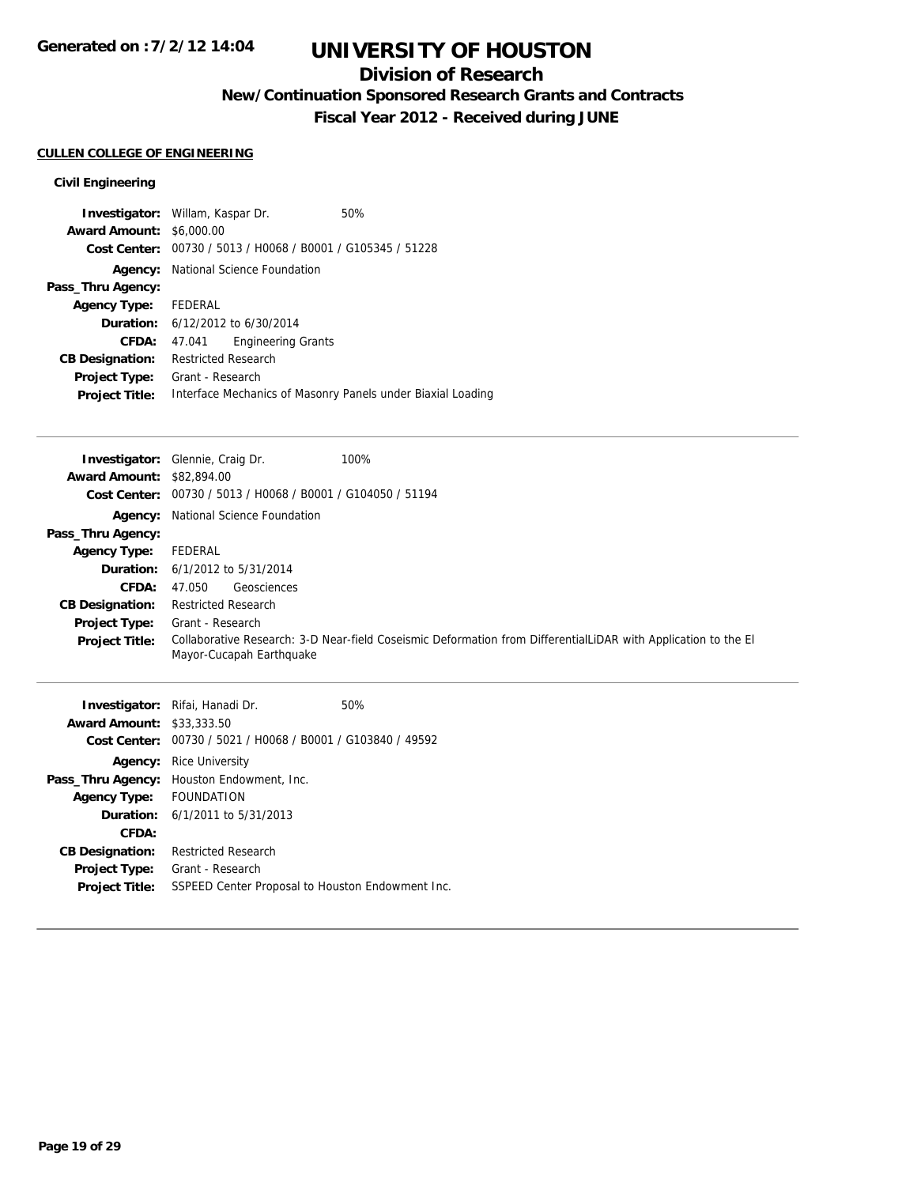## **Division of Research**

**New/Continuation Sponsored Research Grants and Contracts**

**Fiscal Year 2012 - Received during JUNE**

## **CULLEN COLLEGE OF ENGINEERING**

### **Civil Engineering**

|                                 | <b>Investigator:</b> Willam, Kaspar Dr.                     | 50%                                                         |
|---------------------------------|-------------------------------------------------------------|-------------------------------------------------------------|
| <b>Award Amount: \$6,000.00</b> |                                                             |                                                             |
|                                 | Cost Center: 00730 / 5013 / H0068 / B0001 / G105345 / 51228 |                                                             |
|                                 | <b>Agency:</b> National Science Foundation                  |                                                             |
| Pass_Thru Agency:               |                                                             |                                                             |
| Agency Type: FEDERAL            |                                                             |                                                             |
|                                 | <b>Duration:</b> $6/12/2012$ to $6/30/2014$                 |                                                             |
| CFDA:                           | <b>Engineering Grants</b><br>47.041                         |                                                             |
| <b>CB Designation:</b>          | <b>Restricted Research</b>                                  |                                                             |
| <b>Project Type:</b>            | Grant - Research                                            |                                                             |
| <b>Project Title:</b>           |                                                             | Interface Mechanics of Masonry Panels under Biaxial Loading |

|                                  | <b>Investigator:</b> Glennie, Craig Dr.<br>100%                                                                                            |
|----------------------------------|--------------------------------------------------------------------------------------------------------------------------------------------|
| <b>Award Amount: \$82,894.00</b> |                                                                                                                                            |
|                                  | Cost Center: $00730 / 5013 / 40068 / 80001 / 6104050 / 51194$                                                                              |
|                                  | <b>Agency:</b> National Science Foundation                                                                                                 |
| Pass_Thru Agency:                |                                                                                                                                            |
| <b>Agency Type:</b>              | FEDERAL                                                                                                                                    |
|                                  | <b>Duration:</b> $6/1/2012$ to $5/31/2014$                                                                                                 |
| <b>CFDA:</b>                     | Geosciences<br>47.050                                                                                                                      |
| <b>CB Designation:</b>           | <b>Restricted Research</b>                                                                                                                 |
| <b>Project Type:</b>             | Grant - Research                                                                                                                           |
| <b>Project Title:</b>            | Collaborative Research: 3-D Near-field Coseismic Deformation from DifferentialLiDAR with Application to the El<br>Mayor-Cucapah Earthquake |

|                        | <b>Investigator:</b> Rifai, Hanadi Dr. | 50%                                              |
|------------------------|----------------------------------------|--------------------------------------------------|
| <b>Award Amount:</b>   | \$33,333.50                            |                                                  |
| Cost Center:           |                                        | 00730 / 5021 / H0068 / B0001 / G103840 / 49592   |
| Agency:                | Rice University                        |                                                  |
| Pass_Thru Agency:      | Houston Endowment, Inc.                |                                                  |
| <b>Agency Type:</b>    | <b>FOUNDATION</b>                      |                                                  |
|                        | <b>Duration:</b> 6/1/2011 to 5/31/2013 |                                                  |
| CFDA:                  |                                        |                                                  |
| <b>CB Designation:</b> | <b>Restricted Research</b>             |                                                  |
| <b>Project Type:</b>   | Grant - Research                       |                                                  |
| <b>Project Title:</b>  |                                        | SSPEED Center Proposal to Houston Endowment Inc. |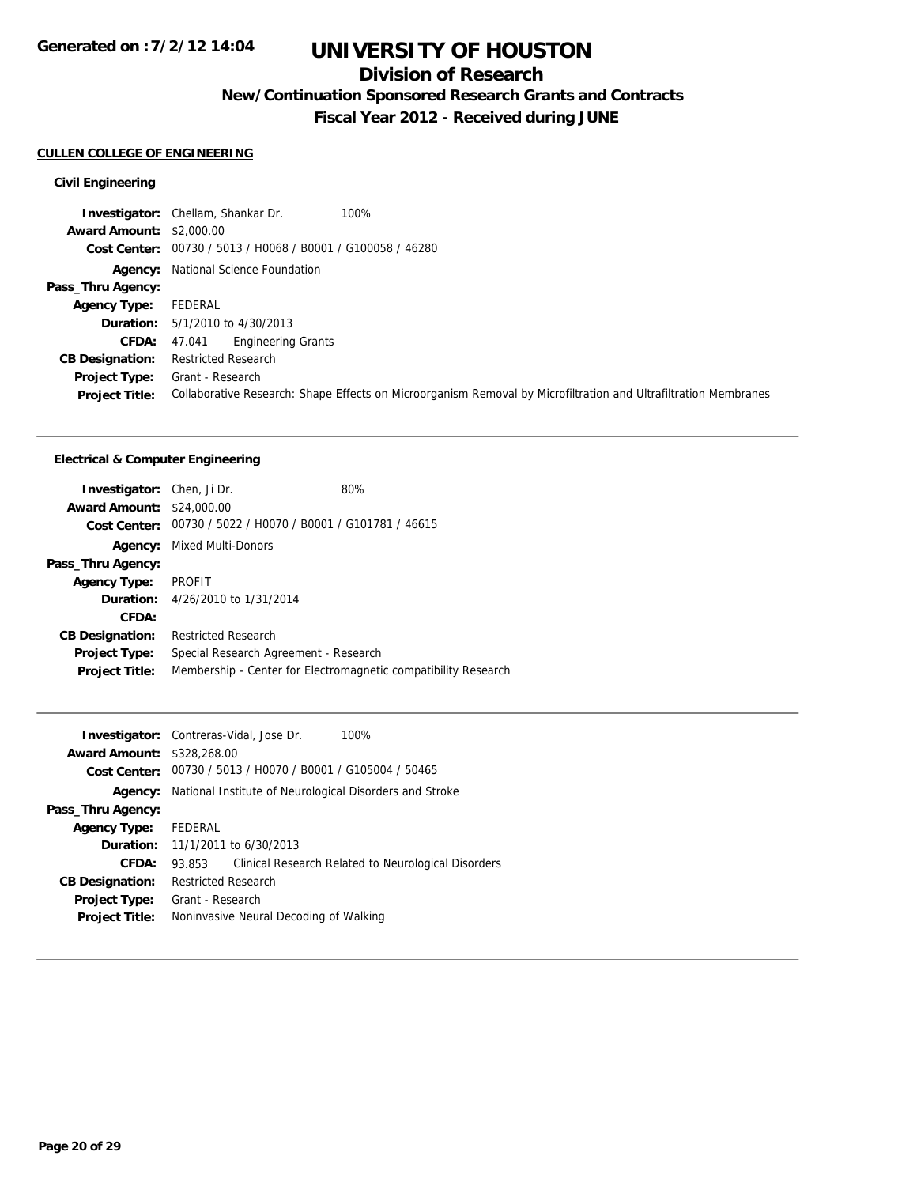## **Division of Research**

**New/Continuation Sponsored Research Grants and Contracts**

**Fiscal Year 2012 - Received during JUNE**

#### **CULLEN COLLEGE OF ENGINEERING**

### **Civil Engineering**

|                                 | <b>Investigator:</b> Chellam, Shankar Dr.<br>100%                                                               |
|---------------------------------|-----------------------------------------------------------------------------------------------------------------|
| <b>Award Amount: \$2,000.00</b> |                                                                                                                 |
|                                 | Cost Center: 00730 / 5013 / H0068 / B0001 / G100058 / 46280                                                     |
|                                 | <b>Agency:</b> National Science Foundation                                                                      |
| Pass_Thru Agency:               |                                                                                                                 |
| <b>Agency Type:</b>             | FEDERAL                                                                                                         |
|                                 | <b>Duration:</b> $5/1/2010$ to $4/30/2013$                                                                      |
| <b>CFDA:</b>                    | <b>Engineering Grants</b><br>47.041                                                                             |
| <b>CB Designation:</b>          | <b>Restricted Research</b>                                                                                      |
| <b>Project Type:</b>            | Grant - Research                                                                                                |
| <b>Project Title:</b>           | Collaborative Research: Shape Effects on Microorganism Removal by Microfiltration and Ultrafiltration Membranes |

### **Electrical & Computer Engineering**

| <b>Investigator:</b> Chen, Ji Dr.<br><b>Award Amount: \$24,000.00</b><br>Cost Center: | 00730 / 5022 / H0070 / B0001 / G101781 / 46615 | 80%                                                            |
|---------------------------------------------------------------------------------------|------------------------------------------------|----------------------------------------------------------------|
| Agency:                                                                               | Mixed Multi-Donors                             |                                                                |
| Pass_Thru Agency:                                                                     |                                                |                                                                |
| <b>Agency Type:</b>                                                                   | <b>PROFIT</b>                                  |                                                                |
|                                                                                       | <b>Duration:</b> 4/26/2010 to 1/31/2014        |                                                                |
| CFDA:                                                                                 |                                                |                                                                |
| <b>CB Designation:</b>                                                                | <b>Restricted Research</b>                     |                                                                |
| <b>Project Type:</b>                                                                  | Special Research Agreement - Research          |                                                                |
| <b>Project Title:</b>                                                                 |                                                | Membership - Center for Electromagnetic compatibility Research |

|                                   | <b>Investigator:</b> Contreras-Vidal, Jose Dr.              | 100%                                                |
|-----------------------------------|-------------------------------------------------------------|-----------------------------------------------------|
| <b>Award Amount: \$328,268.00</b> |                                                             |                                                     |
|                                   | Cost Center: 00730 / 5013 / H0070 / B0001 / G105004 / 50465 |                                                     |
| Agency:                           | National Institute of Neurological Disorders and Stroke     |                                                     |
| Pass_Thru Agency:                 |                                                             |                                                     |
| <b>Agency Type:</b>               | FEDERAL                                                     |                                                     |
|                                   | <b>Duration:</b> 11/1/2011 to 6/30/2013                     |                                                     |
| CFDA:                             | 93.853                                                      | Clinical Research Related to Neurological Disorders |
| <b>CB Designation:</b>            | <b>Restricted Research</b>                                  |                                                     |
| Project Type:                     | Grant - Research                                            |                                                     |
| <b>Project Title:</b>             | Noninvasive Neural Decoding of Walking                      |                                                     |
|                                   |                                                             |                                                     |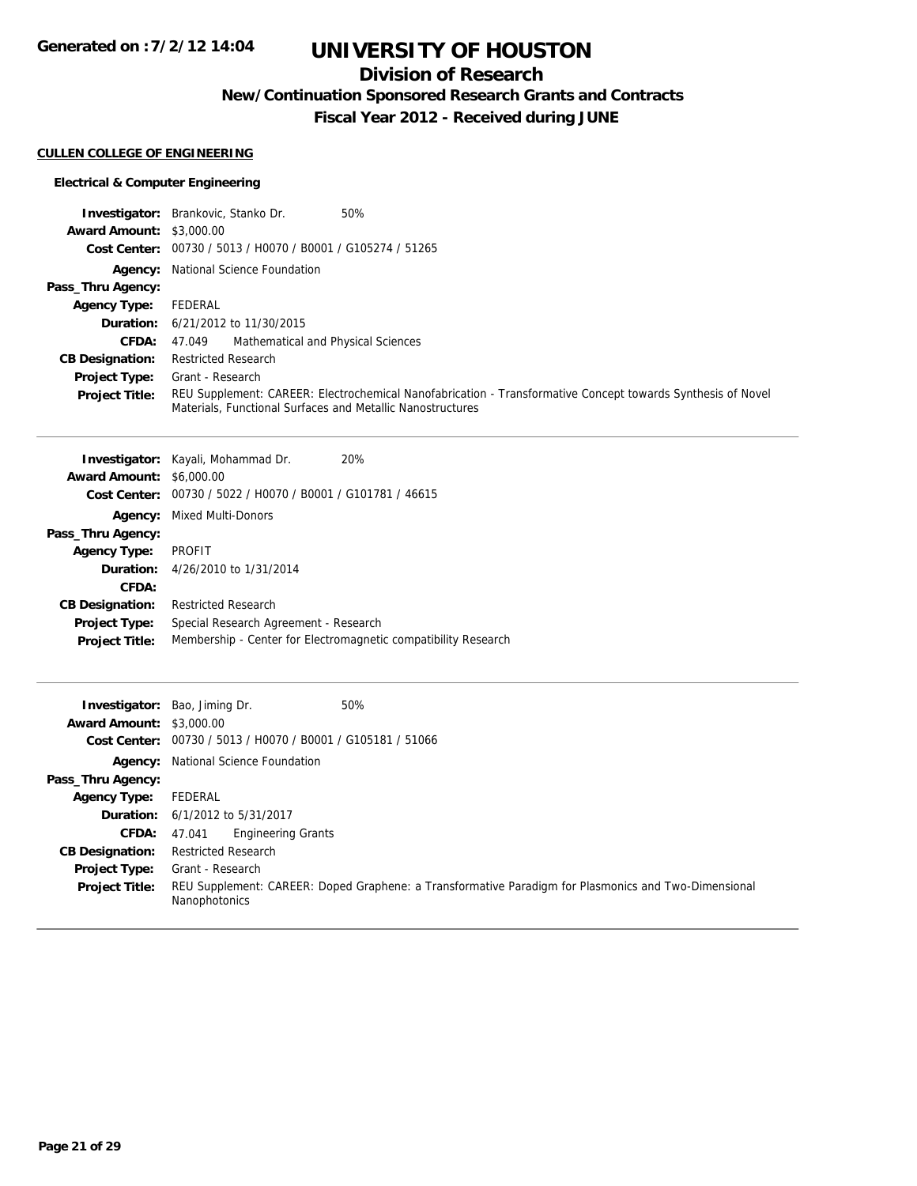# **UNIVERSITY OF HOUSTON**

## **Division of Research**

**New/Continuation Sponsored Research Grants and Contracts**

**Fiscal Year 2012 - Received during JUNE**

### **CULLEN COLLEGE OF ENGINEERING**

### **Electrical & Computer Engineering**

|                                 | <b>Investigator:</b> Brankovic, Stanko Dr.<br>50%                                                                                                                         |
|---------------------------------|---------------------------------------------------------------------------------------------------------------------------------------------------------------------------|
| <b>Award Amount: \$3,000.00</b> |                                                                                                                                                                           |
|                                 | Cost Center: 00730 / 5013 / H0070 / B0001 / G105274 / 51265                                                                                                               |
|                                 | <b>Agency:</b> National Science Foundation                                                                                                                                |
| Pass_Thru Agency:               |                                                                                                                                                                           |
| <b>Agency Type:</b>             | FEDERAL                                                                                                                                                                   |
|                                 | <b>Duration:</b> 6/21/2012 to 11/30/2015                                                                                                                                  |
| <b>CFDA:</b>                    | 47.049 Mathematical and Physical Sciences                                                                                                                                 |
| <b>CB Designation:</b>          | Restricted Research                                                                                                                                                       |
| <b>Project Type:</b>            | Grant - Research                                                                                                                                                          |
| <b>Project Title:</b>           | REU Supplement: CAREER: Electrochemical Nanofabrication - Transformative Concept towards Synthesis of Novel<br>Materials, Functional Surfaces and Metallic Nanostructures |

|                                 | <b>Investigator:</b> Kayali, Mohammad Dr.                   | 20%                                                            |
|---------------------------------|-------------------------------------------------------------|----------------------------------------------------------------|
| <b>Award Amount: \$6,000.00</b> |                                                             |                                                                |
|                                 | Cost Center: 00730 / 5022 / H0070 / B0001 / G101781 / 46615 |                                                                |
| Agency:                         | Mixed Multi-Donors                                          |                                                                |
| Pass_Thru Agency:               |                                                             |                                                                |
| <b>Agency Type:</b>             | <b>PROFIT</b>                                               |                                                                |
|                                 | <b>Duration:</b> 4/26/2010 to 1/31/2014                     |                                                                |
| CFDA:                           |                                                             |                                                                |
| <b>CB Designation:</b>          | <b>Restricted Research</b>                                  |                                                                |
| Project Type:                   | Special Research Agreement - Research                       |                                                                |
| <b>Project Title:</b>           |                                                             | Membership - Center for Electromagnetic compatibility Research |
|                                 |                                                             |                                                                |

|                                 | 50%<br><b>Investigator:</b> Bao, Jiming Dr.                 |                                                                                                      |
|---------------------------------|-------------------------------------------------------------|------------------------------------------------------------------------------------------------------|
| <b>Award Amount: \$3,000.00</b> |                                                             |                                                                                                      |
|                                 | Cost Center: 00730 / 5013 / H0070 / B0001 / G105181 / 51066 |                                                                                                      |
|                                 | <b>Agency:</b> National Science Foundation                  |                                                                                                      |
| Pass_Thru Agency:               |                                                             |                                                                                                      |
| <b>Agency Type:</b>             | FEDERAL                                                     |                                                                                                      |
|                                 | <b>Duration:</b> 6/1/2012 to 5/31/2017                      |                                                                                                      |
| <b>CFDA:</b>                    | <b>Engineering Grants</b><br>47.041                         |                                                                                                      |
| <b>CB Designation:</b>          | <b>Restricted Research</b>                                  |                                                                                                      |
| <b>Project Type:</b>            | Grant - Research                                            |                                                                                                      |
| <b>Project Title:</b>           | Nanophotonics                                               | REU Supplement: CAREER: Doped Graphene: a Transformative Paradigm for Plasmonics and Two-Dimensional |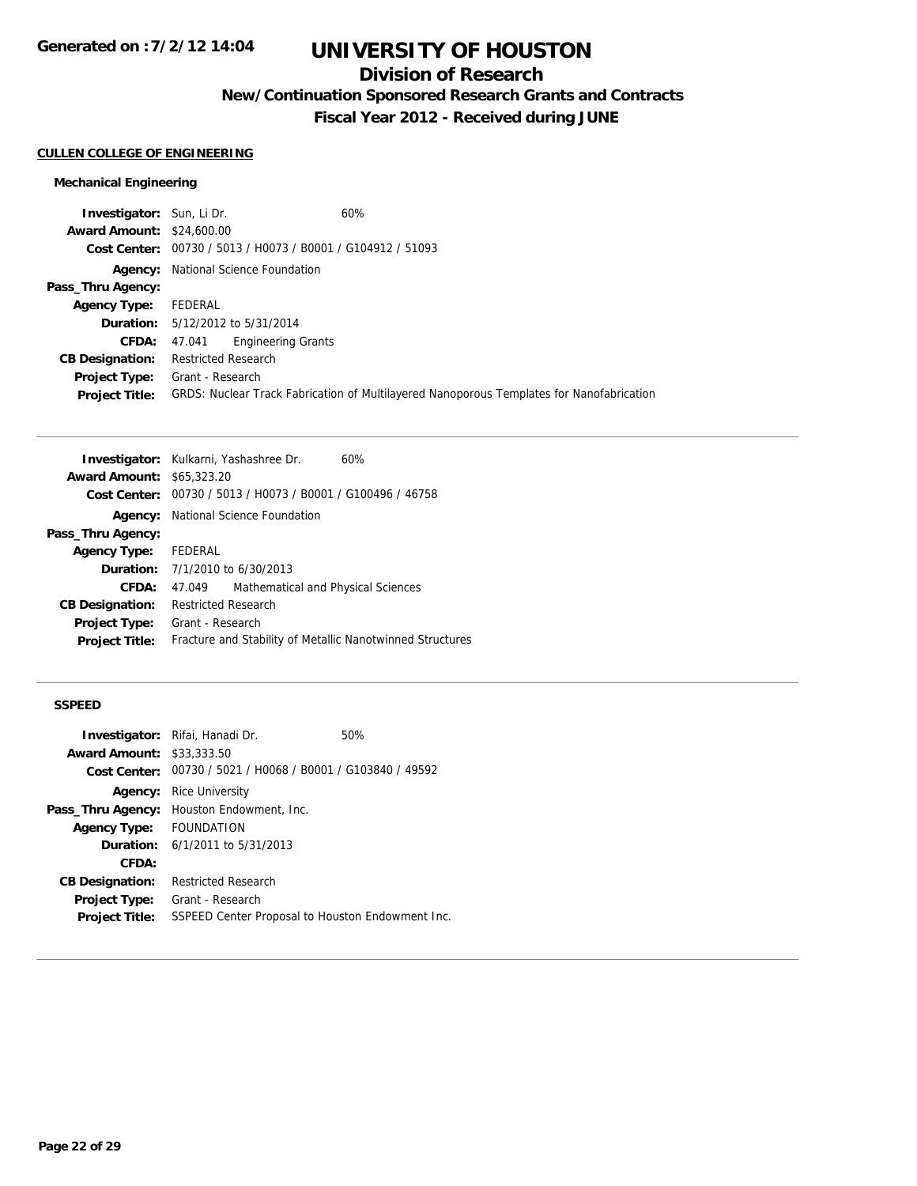## **Division of Research**

**New/Continuation Sponsored Research Grants and Contracts**

**Fiscal Year 2012 - Received during JUNE**

#### **CULLEN COLLEGE OF ENGINEERING**

### **Mechanical Engineering**

| <b>Investigator:</b> Sun, Li Dr. |                                                             | 60%                                                                                      |
|----------------------------------|-------------------------------------------------------------|------------------------------------------------------------------------------------------|
| <b>Award Amount: \$24,600.00</b> |                                                             |                                                                                          |
|                                  | Cost Center: 00730 / 5013 / H0073 / B0001 / G104912 / 51093 |                                                                                          |
|                                  | <b>Agency:</b> National Science Foundation                  |                                                                                          |
| Pass_Thru Agency:                |                                                             |                                                                                          |
| <b>Agency Type:</b>              | FEDERAL                                                     |                                                                                          |
|                                  | <b>Duration:</b> 5/12/2012 to 5/31/2014                     |                                                                                          |
| <b>CFDA:</b>                     | <b>Engineering Grants</b><br>47.041                         |                                                                                          |
| <b>CB Designation:</b>           | <b>Restricted Research</b>                                  |                                                                                          |
| Project Type:                    | Grant - Research                                            |                                                                                          |
| <b>Project Title:</b>            |                                                             | GRDS: Nuclear Track Fabrication of Multilayered Nanoporous Templates for Nanofabrication |
|                                  |                                                             |                                                                                          |

|                                  | Investigator: Kulkarni, Yashashree Dr.<br>60%               |
|----------------------------------|-------------------------------------------------------------|
| <b>Award Amount: \$65,323,20</b> |                                                             |
|                                  | Cost Center: 00730 / 5013 / H0073 / B0001 / G100496 / 46758 |
|                                  | Agency: National Science Foundation                         |
| Pass_Thru Agency:                |                                                             |
| Agency Type: FEDERAL             |                                                             |
|                                  | <b>Duration:</b> $7/1/2010$ to $6/30/2013$                  |
| <b>CFDA:</b>                     | Mathematical and Physical Sciences<br>47.049                |
| <b>CB Designation:</b>           | <b>Restricted Research</b>                                  |
| <b>Project Type:</b>             | Grant - Research                                            |
| <b>Project Title:</b>            | Fracture and Stability of Metallic Nanotwinned Structures   |

#### **SSPEED**

|                                  | <b>Investigator:</b> Rifai, Hanadi Dr.     | 50%                                                         |
|----------------------------------|--------------------------------------------|-------------------------------------------------------------|
| <b>Award Amount: \$33,333,50</b> |                                            |                                                             |
|                                  |                                            | Cost Center: 00730 / 5021 / H0068 / B0001 / G103840 / 49592 |
| Agency:                          | Rice University                            |                                                             |
| Pass_Thru Agency:                | Houston Endowment, Inc.                    |                                                             |
| <b>Agency Type:</b>              | FOUNDATION                                 |                                                             |
|                                  | <b>Duration:</b> $6/1/2011$ to $5/31/2013$ |                                                             |
| CFDA:                            |                                            |                                                             |
| <b>CB Designation:</b>           | <b>Restricted Research</b>                 |                                                             |
| Project Type:                    | Grant - Research                           |                                                             |
| <b>Project Title:</b>            |                                            | SSPEED Center Proposal to Houston Endowment Inc.            |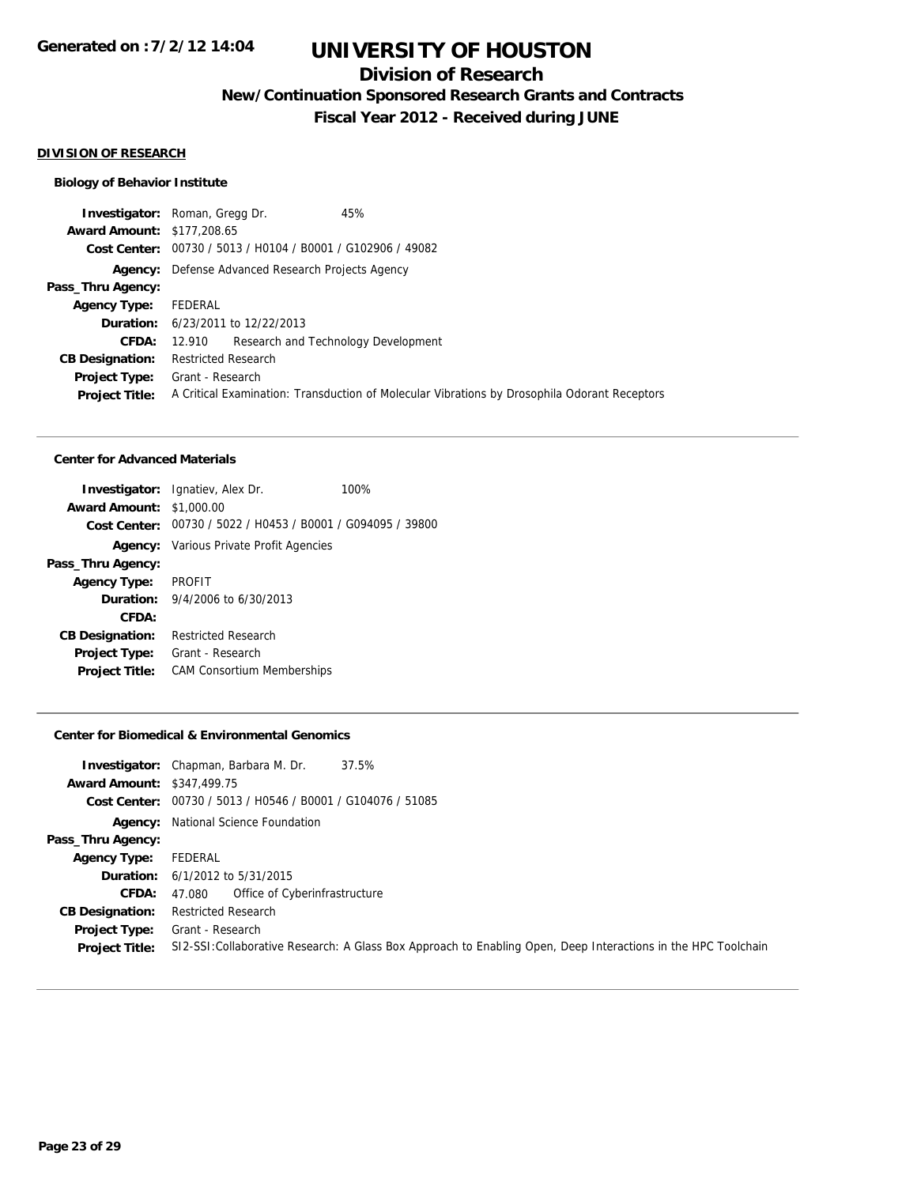## **Division of Research**

**New/Continuation Sponsored Research Grants and Contracts**

**Fiscal Year 2012 - Received during JUNE**

#### **DIVISION OF RESEARCH**

### **Biology of Behavior Institute**

|                                   | <b>Investigator:</b> Roman, Gregg Dr.<br>45%                                                 |
|-----------------------------------|----------------------------------------------------------------------------------------------|
| <b>Award Amount: \$177,208.65</b> |                                                                                              |
|                                   | Cost Center: 00730 / 5013 / H0104 / B0001 / G102906 / 49082                                  |
|                                   | <b>Agency:</b> Defense Advanced Research Projects Agency                                     |
| Pass_Thru Agency:                 |                                                                                              |
| <b>Agency Type:</b>               | FEDERAL                                                                                      |
|                                   | <b>Duration:</b> 6/23/2011 to 12/22/2013                                                     |
| <b>CFDA:</b>                      | Research and Technology Development<br>12.910                                                |
| <b>CB Designation:</b>            | <b>Restricted Research</b>                                                                   |
|                                   | <b>Project Type:</b> Grant - Research                                                        |
| <b>Project Title:</b>             | A Critical Examination: Transduction of Molecular Vibrations by Drosophila Odorant Receptors |
|                                   |                                                                                              |

#### **Center for Advanced Materials**

|                                 | <b>Investigator:</b> Ignatiev, Alex Dr.                     | 100% |
|---------------------------------|-------------------------------------------------------------|------|
| <b>Award Amount: \$1,000.00</b> |                                                             |      |
|                                 | Cost Center: 00730 / 5022 / H0453 / B0001 / G094095 / 39800 |      |
|                                 | <b>Agency:</b> Various Private Profit Agencies              |      |
| Pass_Thru Agency:               |                                                             |      |
| <b>Agency Type:</b>             | <b>PROFIT</b>                                               |      |
|                                 | <b>Duration:</b> $9/4/2006$ to $6/30/2013$                  |      |
| CFDA:                           |                                                             |      |
| <b>CB Designation:</b>          | <b>Restricted Research</b>                                  |      |
| <b>Project Type:</b>            | Grant - Research                                            |      |
| <b>Project Title:</b>           | <b>CAM Consortium Memberships</b>                           |      |
|                                 |                                                             |      |

#### **Center for Biomedical & Environmental Genomics**

| <b>Award Amount: \$347,499.75</b>             | <b>Investigator:</b> Chapman, Barbara M. Dr.<br>37.5%<br>Cost Center: 00730 / 5013 / H0546 / B0001 / G104076 / 51085               |
|-----------------------------------------------|------------------------------------------------------------------------------------------------------------------------------------|
|                                               | <b>Agency:</b> National Science Foundation                                                                                         |
| Pass_Thru Agency:                             |                                                                                                                                    |
| <b>Agency Type:</b>                           | FEDERAL                                                                                                                            |
|                                               | <b>Duration:</b> 6/1/2012 to 5/31/2015                                                                                             |
| <b>CFDA:</b>                                  | 47.080 Office of Cyberinfrastructure                                                                                               |
| <b>CB Designation:</b>                        | <b>Restricted Research</b>                                                                                                         |
| <b>Project Type:</b><br><b>Project Title:</b> | Grant - Research<br>SI2-SSI: Collaborative Research: A Glass Box Approach to Enabling Open, Deep Interactions in the HPC Toolchain |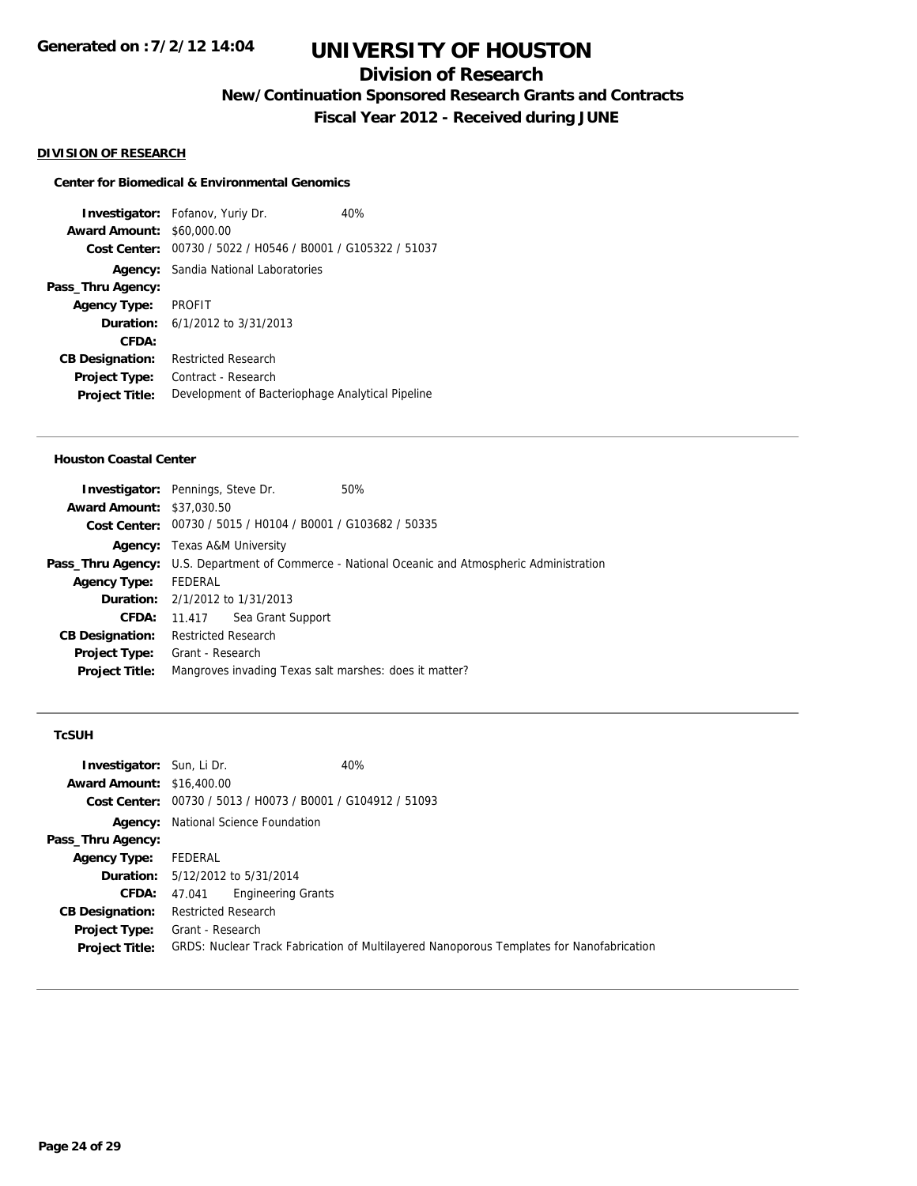## **Division of Research**

**New/Continuation Sponsored Research Grants and Contracts**

**Fiscal Year 2012 - Received during JUNE**

#### **DIVISION OF RESEARCH**

#### **Center for Biomedical & Environmental Genomics**

**Investigator:** Fofanov, Yuriy Dr. 40% **Award Amount:** \$60,000.00 **Cost Center:** 00730 / 5022 / H0546 / B0001 / G105322 / 51037 **Agency:** Sandia National Laboratories **Pass\_Thru Agency: Agency Type:** PROFIT **Duration:** 6/1/2012 to 3/31/2013 **CFDA: CB Designation:** Restricted Research **Project Type:** Contract - Research **Project Title:** Development of Bacteriophage Analytical Pipeline

#### **Houston Coastal Center**

| <b>Investigator:</b> Pennings, Steve Dr. |                            |                                                             | 50%                                                                                                    |  |
|------------------------------------------|----------------------------|-------------------------------------------------------------|--------------------------------------------------------------------------------------------------------|--|
| <b>Award Amount: \$37,030.50</b>         |                            |                                                             |                                                                                                        |  |
|                                          |                            | Cost Center: 00730 / 5015 / H0104 / B0001 / G103682 / 50335 |                                                                                                        |  |
|                                          |                            | <b>Agency:</b> Texas A&M University                         |                                                                                                        |  |
|                                          |                            |                                                             | <b>Pass_Thru Agency:</b> U.S. Department of Commerce - National Oceanic and Atmospheric Administration |  |
| <b>Agency Type:</b>                      | FEDERAL                    |                                                             |                                                                                                        |  |
|                                          |                            | <b>Duration:</b> 2/1/2012 to 1/31/2013                      |                                                                                                        |  |
| <b>CFDA:</b>                             | 11.417                     | Sea Grant Support                                           |                                                                                                        |  |
| <b>CB Designation:</b>                   | <b>Restricted Research</b> |                                                             |                                                                                                        |  |
| Project Type:                            | Grant - Research           |                                                             |                                                                                                        |  |
| <b>Project Title:</b>                    |                            |                                                             | Mangroves invading Texas salt marshes: does it matter?                                                 |  |
|                                          |                            |                                                             |                                                                                                        |  |

#### **TcSUH**

| <b>Investigator:</b> Sun, Li Dr.<br><b>Award Amount: \$16,400.00</b> | 40%                                                                                      |  |
|----------------------------------------------------------------------|------------------------------------------------------------------------------------------|--|
|                                                                      | Cost Center: 00730 / 5013 / H0073 / B0001 / G104912 / 51093                              |  |
| Agency:                                                              | National Science Foundation                                                              |  |
| Pass_Thru Agency:                                                    |                                                                                          |  |
| <b>Agency Type:</b>                                                  | FEDERAL                                                                                  |  |
|                                                                      | <b>Duration:</b> 5/12/2012 to 5/31/2014                                                  |  |
| <b>CFDA:</b>                                                         | <b>Engineering Grants</b><br>47.041                                                      |  |
| <b>CB Designation:</b>                                               | <b>Restricted Research</b>                                                               |  |
| <b>Project Type:</b>                                                 | Grant - Research                                                                         |  |
| <b>Project Title:</b>                                                | GRDS: Nuclear Track Fabrication of Multilayered Nanoporous Templates for Nanofabrication |  |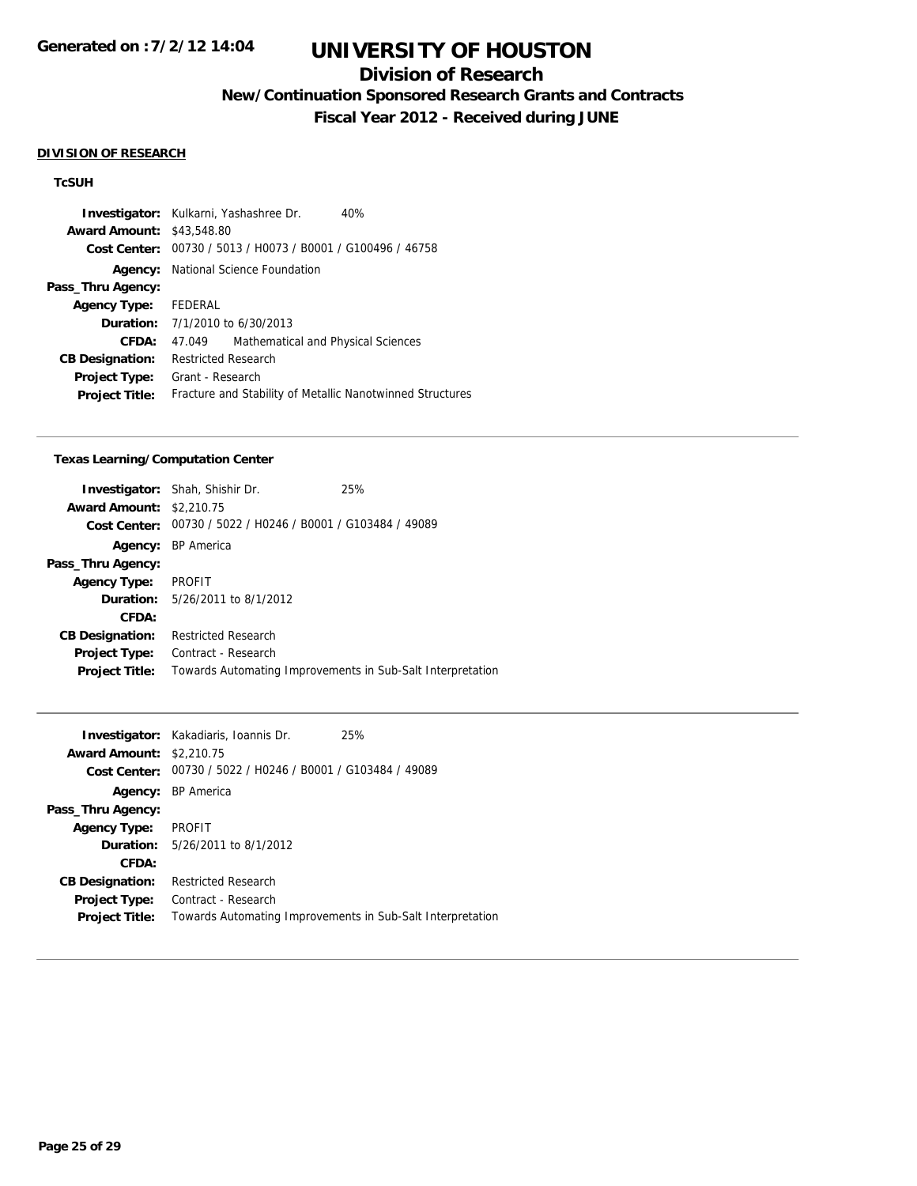## **Division of Research**

**New/Continuation Sponsored Research Grants and Contracts**

**Fiscal Year 2012 - Received during JUNE**

#### **DIVISION OF RESEARCH**

### **TcSUH**

|                                  | <b>Investigator:</b> Kulkarni, Yashashree Dr.<br>40%        |  |  |
|----------------------------------|-------------------------------------------------------------|--|--|
| <b>Award Amount: \$43,548.80</b> |                                                             |  |  |
|                                  | Cost Center: 00730 / 5013 / H0073 / B0001 / G100496 / 46758 |  |  |
|                                  | <b>Agency:</b> National Science Foundation                  |  |  |
| Pass_Thru Agency:                |                                                             |  |  |
| Agency Type: FEDERAL             |                                                             |  |  |
|                                  | <b>Duration:</b> $7/1/2010$ to $6/30/2013$                  |  |  |
| CFDA:                            | Mathematical and Physical Sciences<br>47.049                |  |  |
| <b>CB Designation:</b>           | <b>Restricted Research</b>                                  |  |  |
| <b>Project Type:</b>             | Grant - Research                                            |  |  |
| <b>Project Title:</b>            | Fracture and Stability of Metallic Nanotwinned Structures   |  |  |

#### **Texas Learning/Computation Center**

|                        | <b>Investigator:</b> Shah, Shishir Dr.                     | 25% |
|------------------------|------------------------------------------------------------|-----|
| <b>Award Amount:</b>   | \$2,210.75                                                 |     |
| Cost Center:           | 00730 / 5022 / H0246 / B0001 / G103484 / 49089             |     |
| Agency:                | <b>BP</b> America                                          |     |
| Pass_Thru Agency:      |                                                            |     |
| <b>Agency Type:</b>    | <b>PROFIT</b>                                              |     |
|                        | <b>Duration:</b> 5/26/2011 to 8/1/2012                     |     |
| CFDA:                  |                                                            |     |
| <b>CB Designation:</b> | <b>Restricted Research</b>                                 |     |
| <b>Project Type:</b>   | Contract - Research                                        |     |
| <b>Project Title:</b>  | Towards Automating Improvements in Sub-Salt Interpretation |     |
|                        |                                                            |     |

|                                 | <b>Investigator:</b> Kakadiaris, Ioannis Dr.               | 25% |
|---------------------------------|------------------------------------------------------------|-----|
| <b>Award Amount: \$2,210.75</b> |                                                            |     |
| Cost Center:                    | 00730 / 5022 / H0246 / B0001 / G103484 / 49089             |     |
|                                 | <b>Agency:</b> BP America                                  |     |
| Pass_Thru Agency:               |                                                            |     |
| <b>Agency Type:</b>             | <b>PROFIT</b>                                              |     |
|                                 | <b>Duration:</b> 5/26/2011 to 8/1/2012                     |     |
| CFDA:                           |                                                            |     |
| <b>CB Designation:</b>          | <b>Restricted Research</b>                                 |     |
| <b>Project Type:</b>            | Contract - Research                                        |     |
| <b>Project Title:</b>           | Towards Automating Improvements in Sub-Salt Interpretation |     |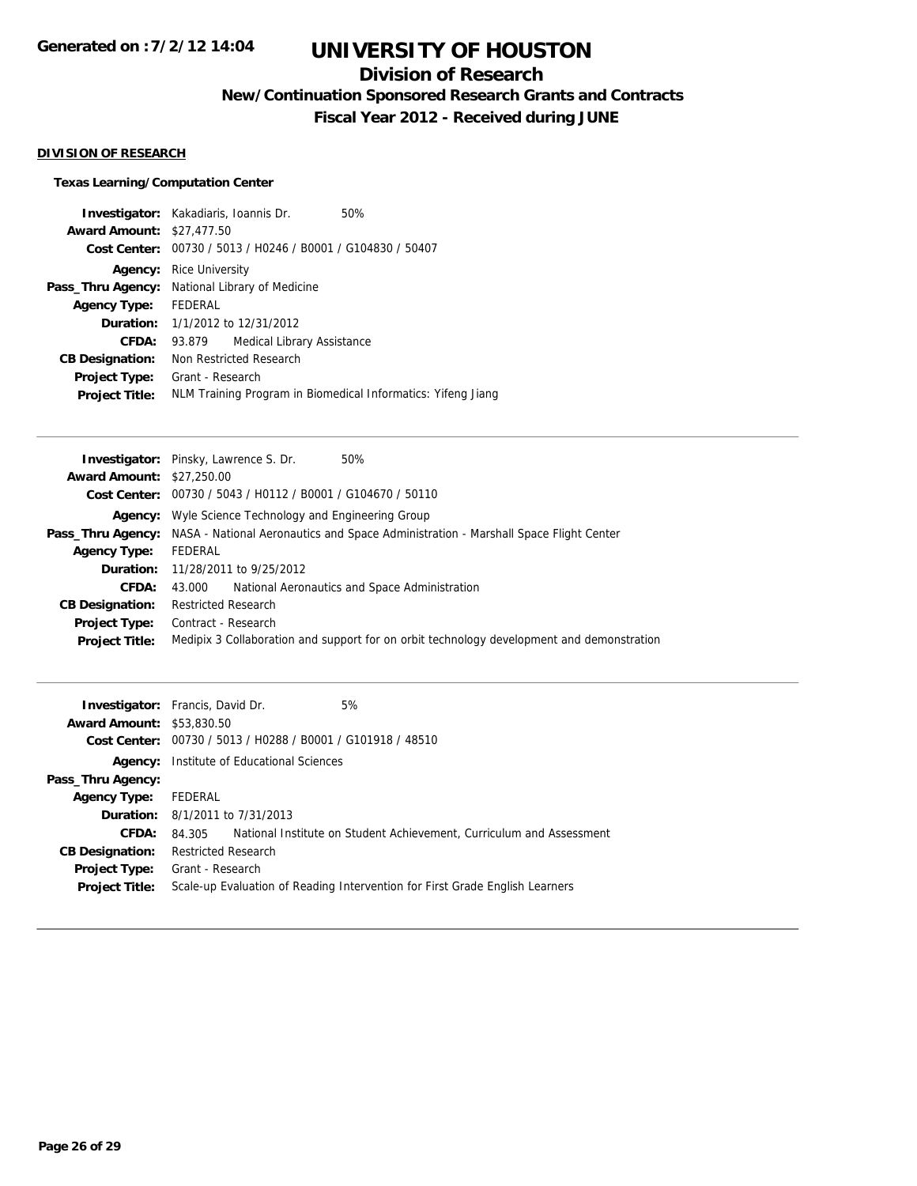## **Division of Research**

**New/Continuation Sponsored Research Grants and Contracts**

**Fiscal Year 2012 - Received during JUNE**

### **DIVISION OF RESEARCH**

### **Texas Learning/Computation Center**

|                                  | <b>Investigator:</b> Kakadiaris, Ioannis Dr.                 | 50%                                                         |  |
|----------------------------------|--------------------------------------------------------------|-------------------------------------------------------------|--|
| <b>Award Amount: \$27,477.50</b> |                                                              |                                                             |  |
|                                  |                                                              | Cost Center: 00730 / 5013 / H0246 / B0001 / G104830 / 50407 |  |
|                                  | <b>Agency:</b> Rice University                               |                                                             |  |
|                                  | Pass_Thru Agency: National Library of Medicine               |                                                             |  |
| Agency Type:                     | FEDERAL                                                      |                                                             |  |
|                                  | <b>Duration:</b> $1/1/2012$ to $12/31/2012$                  |                                                             |  |
| <b>CFDA:</b>                     | <b>Medical Library Assistance</b><br>93.879                  |                                                             |  |
| <b>CB Designation:</b>           | Non Restricted Research                                      |                                                             |  |
| <b>Project Type:</b>             | Grant - Research                                             |                                                             |  |
| <b>Project Title:</b>            | NLM Training Program in Biomedical Informatics: Yifeng Jiang |                                                             |  |
|                                  |                                                              |                                                             |  |

|                                  | <b>Investigator:</b> Pinsky, Lawrence S. Dr.<br>50%                                                          |
|----------------------------------|--------------------------------------------------------------------------------------------------------------|
| <b>Award Amount: \$27,250.00</b> |                                                                                                              |
|                                  | Cost Center: 00730 / 5043 / H0112 / B0001 / G104670 / 50110                                                  |
|                                  | <b>Agency:</b> Wyle Science Technology and Engineering Group                                                 |
|                                  | <b>Pass_Thru Agency:</b> NASA - National Aeronautics and Space Administration - Marshall Space Flight Center |
| <b>Agency Type:</b>              | FEDERAL                                                                                                      |
|                                  | <b>Duration:</b> 11/28/2011 to 9/25/2012                                                                     |
| CFDA:                            | National Aeronautics and Space Administration<br>43.000                                                      |
| <b>CB Designation:</b>           | <b>Restricted Research</b>                                                                                   |
| Project Type:                    | Contract - Research                                                                                          |
| <b>Project Title:</b>            | Medipix 3 Collaboration and support for on orbit technology development and demonstration                    |
|                                  |                                                                                                              |

|                                  | <b>Investigator:</b> Francis, David Dr.<br>5%                                  |
|----------------------------------|--------------------------------------------------------------------------------|
| <b>Award Amount: \$53,830.50</b> |                                                                                |
|                                  | Cost Center: 00730 / 5013 / H0288 / B0001 / G101918 / 48510                    |
| Agency:                          | Institute of Educational Sciences                                              |
| Pass_Thru Agency:                |                                                                                |
| <b>Agency Type:</b>              | FEDERAL                                                                        |
|                                  | <b>Duration:</b> 8/1/2011 to 7/31/2013                                         |
| <b>CFDA:</b>                     | National Institute on Student Achievement, Curriculum and Assessment<br>84.305 |
| <b>CB Designation:</b>           | <b>Restricted Research</b>                                                     |
|                                  | <b>Project Type:</b> Grant - Research                                          |
| <b>Project Title:</b>            | Scale-up Evaluation of Reading Intervention for First Grade English Learners   |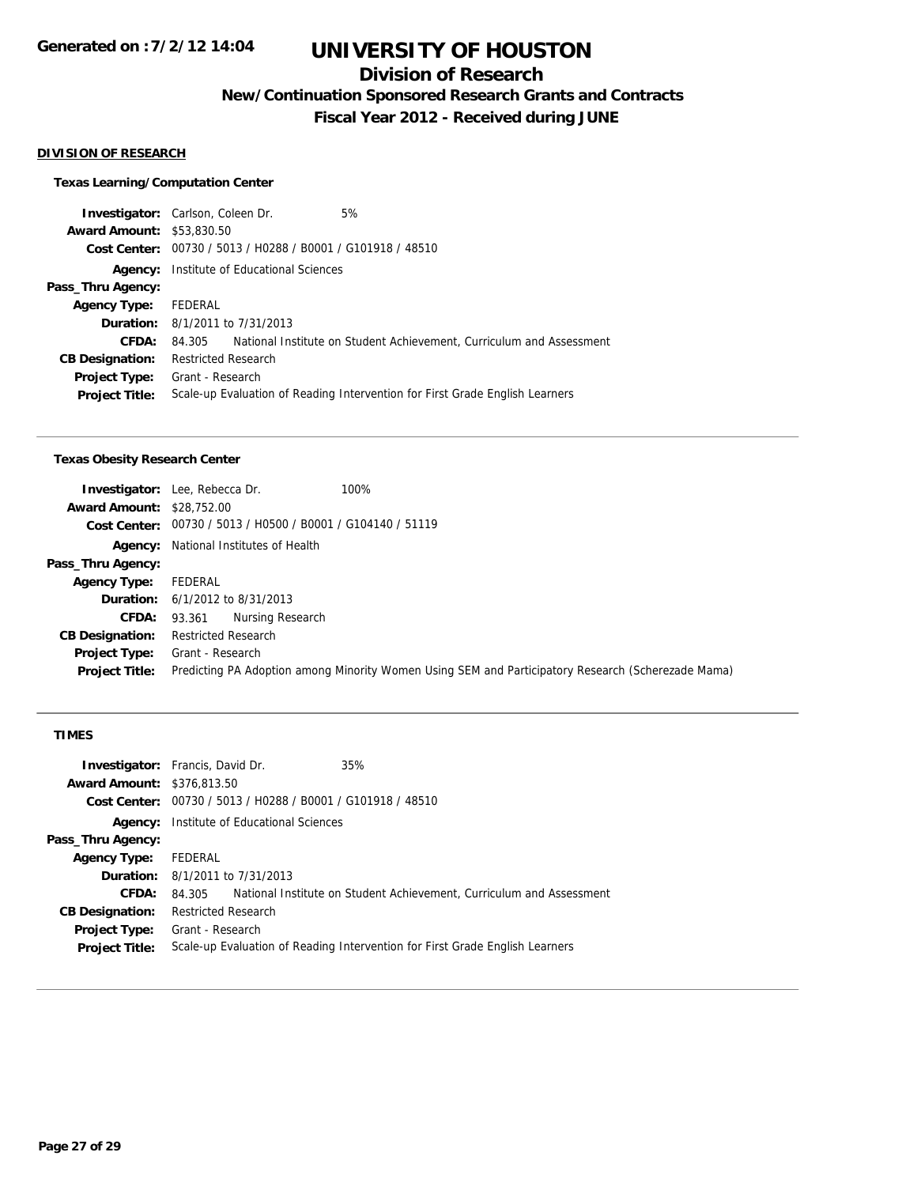## **Division of Research**

**New/Continuation Sponsored Research Grants and Contracts**

**Fiscal Year 2012 - Received during JUNE**

#### **DIVISION OF RESEARCH**

### **Texas Learning/Computation Center**

| <b>Investigator:</b> Carlson, Coleen Dr. |                                   |                                                             | 5%                                                                           |
|------------------------------------------|-----------------------------------|-------------------------------------------------------------|------------------------------------------------------------------------------|
| <b>Award Amount: \$53,830.50</b>         |                                   |                                                             |                                                                              |
|                                          |                                   | Cost Center: 00730 / 5013 / H0288 / B0001 / G101918 / 48510 |                                                                              |
| Agency:                                  | Institute of Educational Sciences |                                                             |                                                                              |
| Pass_Thru Agency:                        |                                   |                                                             |                                                                              |
| <b>Agency Type:</b>                      | FEDERAL                           |                                                             |                                                                              |
|                                          |                                   | <b>Duration:</b> 8/1/2011 to 7/31/2013                      |                                                                              |
| <b>CFDA:</b>                             | 84.305                            |                                                             | National Institute on Student Achievement, Curriculum and Assessment         |
| <b>CB Designation:</b>                   | <b>Restricted Research</b>        |                                                             |                                                                              |
| Project Type:                            | Grant - Research                  |                                                             |                                                                              |
| <b>Project Title:</b>                    |                                   |                                                             | Scale-up Evaluation of Reading Intervention for First Grade English Learners |
|                                          |                                   |                                                             |                                                                              |

#### **Texas Obesity Research Center**

|                                  | <b>Investigator:</b> Lee, Rebecca Dr.<br>100%                                                      |
|----------------------------------|----------------------------------------------------------------------------------------------------|
| <b>Award Amount: \$28,752.00</b> |                                                                                                    |
|                                  | Cost Center: 00730 / 5013 / H0500 / B0001 / G104140 / 51119                                        |
|                                  | <b>Agency:</b> National Institutes of Health                                                       |
| Pass_Thru Agency:                |                                                                                                    |
| <b>Agency Type:</b>              | FEDERAL                                                                                            |
|                                  | <b>Duration:</b> $6/1/2012$ to $8/31/2013$                                                         |
|                                  | Nursing Research<br>CFDA: 93.361                                                                   |
| <b>CB Designation:</b>           | <b>Restricted Research</b>                                                                         |
| Project Type:                    | Grant - Research                                                                                   |
| <b>Project Title:</b>            | Predicting PA Adoption among Minority Women Using SEM and Participatory Research (Scherezade Mama) |

### **TIMES**

|                                   | <b>Investigator:</b> Francis, David Dr.                                      | 35%                                                                  |  |
|-----------------------------------|------------------------------------------------------------------------------|----------------------------------------------------------------------|--|
| <b>Award Amount: \$376,813.50</b> |                                                                              |                                                                      |  |
|                                   | Cost Center: 00730 / 5013 / H0288 / B0001 / G101918 / 48510                  |                                                                      |  |
| Agency:                           | Institute of Educational Sciences                                            |                                                                      |  |
| Pass_Thru Agency:                 |                                                                              |                                                                      |  |
| <b>Agency Type:</b>               | FEDERAL                                                                      |                                                                      |  |
|                                   | <b>Duration:</b> 8/1/2011 to 7/31/2013                                       |                                                                      |  |
| CFDA:                             | 84.305                                                                       | National Institute on Student Achievement, Curriculum and Assessment |  |
| <b>CB Designation:</b>            | <b>Restricted Research</b>                                                   |                                                                      |  |
| <b>Project Type:</b>              | Grant - Research                                                             |                                                                      |  |
| <b>Project Title:</b>             | Scale-up Evaluation of Reading Intervention for First Grade English Learners |                                                                      |  |
|                                   |                                                                              |                                                                      |  |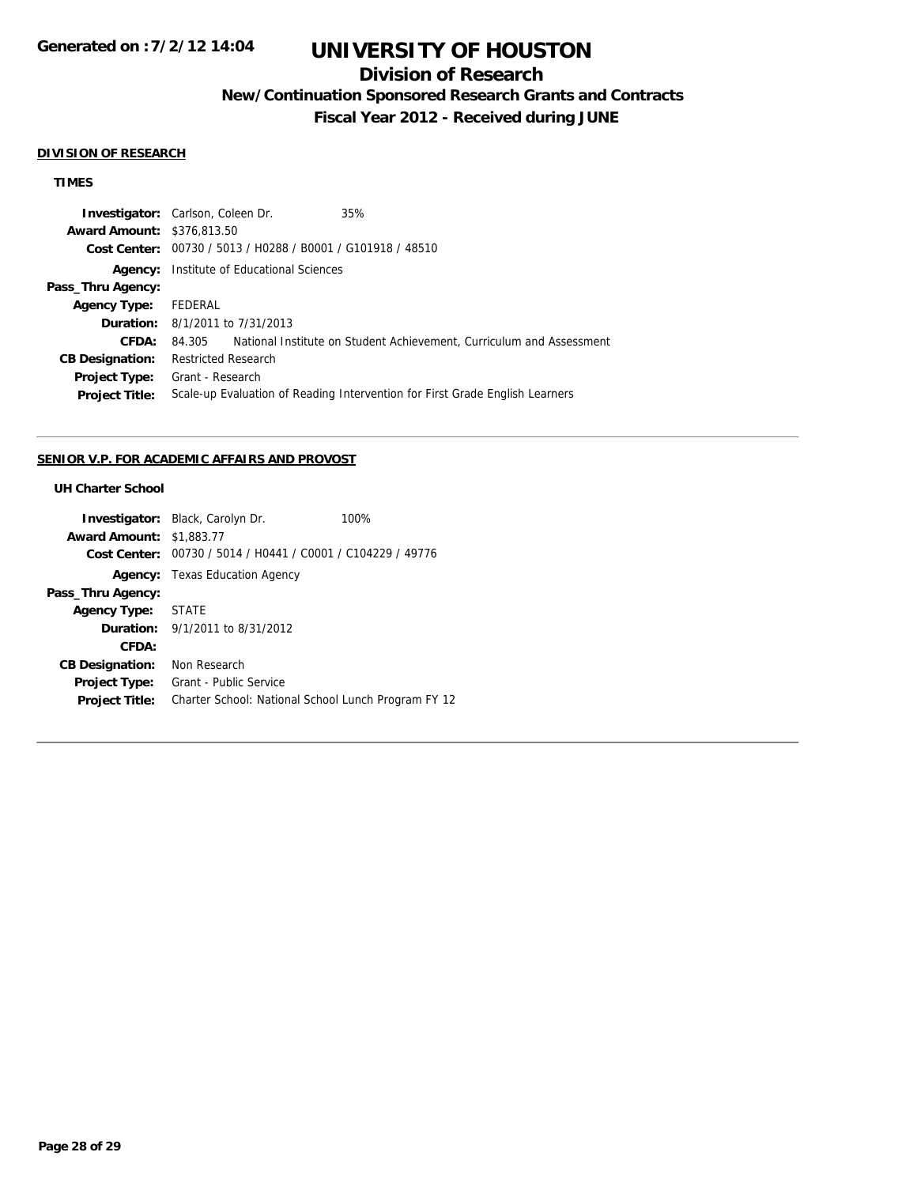# **UNIVERSITY OF HOUSTON**

## **Division of Research**

**New/Continuation Sponsored Research Grants and Contracts**

**Fiscal Year 2012 - Received during JUNE**

#### **DIVISION OF RESEARCH**

### **TIMES**

| <b>Investigator:</b> Carlson, Coleen Dr. |                                                                              |                                        | 35%                                                                  |
|------------------------------------------|------------------------------------------------------------------------------|----------------------------------------|----------------------------------------------------------------------|
| <b>Award Amount: \$376,813.50</b>        |                                                                              |                                        |                                                                      |
|                                          | Cost Center: 00730 / 5013 / H0288 / B0001 / G101918 / 48510                  |                                        |                                                                      |
| Agency:                                  | Institute of Educational Sciences                                            |                                        |                                                                      |
| Pass_Thru Agency:                        |                                                                              |                                        |                                                                      |
| <b>Agency Type:</b>                      | FEDERAL                                                                      |                                        |                                                                      |
|                                          |                                                                              | <b>Duration:</b> 8/1/2011 to 7/31/2013 |                                                                      |
| CFDA:                                    | 84.305                                                                       |                                        | National Institute on Student Achievement, Curriculum and Assessment |
| <b>CB Designation:</b>                   | <b>Restricted Research</b>                                                   |                                        |                                                                      |
| <b>Project Type:</b>                     | Grant - Research                                                             |                                        |                                                                      |
| <b>Project Title:</b>                    | Scale-up Evaluation of Reading Intervention for First Grade English Learners |                                        |                                                                      |
|                                          |                                                                              |                                        |                                                                      |

#### **SENIOR V.P. FOR ACADEMIC AFFAIRS AND PROVOST**

## **UH Charter School**

|                                 | <b>Investigator:</b> Black, Carolyn Dr.                     | 100% |  |
|---------------------------------|-------------------------------------------------------------|------|--|
| <b>Award Amount: \$1,883.77</b> |                                                             |      |  |
|                                 | Cost Center: 00730 / 5014 / H0441 / C0001 / C104229 / 49776 |      |  |
|                                 | <b>Agency:</b> Texas Education Agency                       |      |  |
| Pass_Thru Agency:               |                                                             |      |  |
| Agency Type:                    | STATE                                                       |      |  |
|                                 | <b>Duration:</b> 9/1/2011 to 8/31/2012                      |      |  |
| CFDA:                           |                                                             |      |  |
| <b>CB Designation:</b>          | Non Research                                                |      |  |
| Project Type:                   | Grant - Public Service                                      |      |  |
| <b>Project Title:</b>           | Charter School: National School Lunch Program FY 12         |      |  |